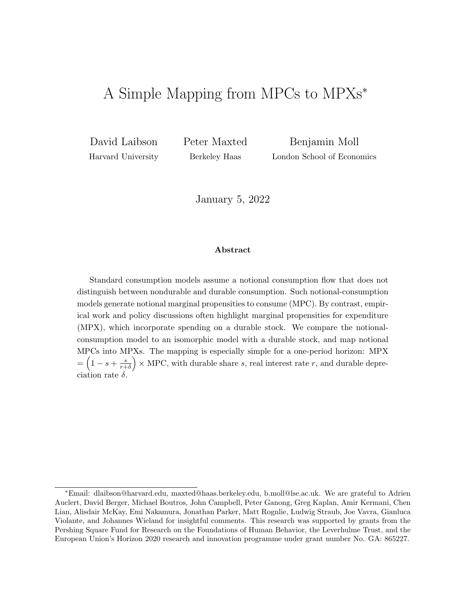# <span id="page-0-0"></span>A Simple Mapping from MPCs to MPXs<sup>∗</sup>

David Laibson Harvard University Peter Maxted Berkeley Haas

Benjamin Moll London School of Economics

January 5, 2022

#### Abstract

Standard consumption models assume a notional consumption flow that does not distinguish between nondurable and durable consumption. Such notional-consumption models generate notional marginal propensities to consume (MPC). By contrast, empirical work and policy discussions often highlight marginal propensities for expenditure (MPX), which incorporate spending on a durable stock. We compare the notionalconsumption model to an isomorphic model with a durable stock, and map notional MPCs into MPXs. The mapping is especially simple for a one-period horizon: MPX  $=\left(1-s+\frac{s}{r+1}\right)$  $\left(\frac{s}{r+\delta}\right)$  × MPC, with durable share s, real interest rate r, and durable depreciation rate  $\delta$ .

<sup>∗</sup>Email: dlaibson@harvard.edu, maxted@haas.berkeley.edu, b.moll@lse.ac.uk. We are grateful to Adrien Auclert, David Berger, Michael Boutros, John Campbell, Peter Ganong, Greg Kaplan, Amir Kermani, Chen Lian, Alisdair McKay, Emi Nakamura, Jonathan Parker, Matt Rognlie, Ludwig Straub, Joe Vavra, Gianluca Violante, and Johannes Wieland for insightful comments. This research was supported by grants from the Pershing Square Fund for Research on the Foundations of Human Behavior, the Leverhulme Trust, and the European Union's Horizon 2020 research and innovation programme under grant number No. GA: 865227.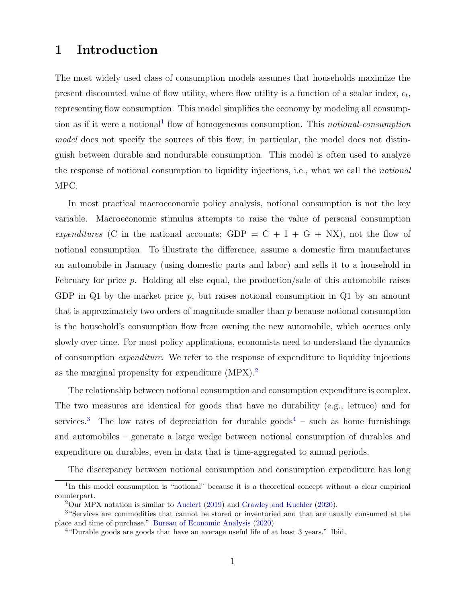### 1 Introduction

The most widely used class of consumption models assumes that households maximize the present discounted value of flow utility, where flow utility is a function of a scalar index,  $c_t$ , representing flow consumption. This model simplifies the economy by modeling all consump-tion as if it were a notional<sup>[1](#page-0-0)</sup> flow of homogeneous consumption. This *notional-consumption* model does not specify the sources of this flow; in particular, the model does not distinguish between durable and nondurable consumption. This model is often used to analyze the response of notional consumption to liquidity injections, i.e., what we call the notional MPC.

In most practical macroeconomic policy analysis, notional consumption is not the key variable. Macroeconomic stimulus attempts to raise the value of personal consumption expenditures (C in the national accounts; GDP =  $C + I + G + Nx$ ), not the flow of notional consumption. To illustrate the difference, assume a domestic firm manufactures an automobile in January (using domestic parts and labor) and sells it to a household in February for price p. Holding all else equal, the production/sale of this automobile raises GDP in  $Q1$  by the market price p, but raises notional consumption in  $Q1$  by an amount that is approximately two orders of magnitude smaller than p because notional consumption is the household's consumption flow from owning the new automobile, which accrues only slowly over time. For most policy applications, economists need to understand the dynamics of consumption expenditure. We refer to the response of expenditure to liquidity injections as the marginal propensity for expenditure  $(MPX).<sup>2</sup>$  $(MPX).<sup>2</sup>$  $(MPX).<sup>2</sup>$ 

The relationship between notional consumption and consumption expenditure is complex. The two measures are identical for goods that have no durability (e.g., lettuce) and for services.<sup>[3](#page-0-0)</sup> The low rates of depreciation for durable goods<sup>[4](#page-0-0)</sup> – such as home furnishings and automobiles – generate a large wedge between notional consumption of durables and expenditure on durables, even in data that is time-aggregated to annual periods.

The discrepancy between notional consumption and consumption expenditure has long

<sup>&</sup>lt;sup>1</sup>In this model consumption is "notional" because it is a theoretical concept without a clear empirical counterpart.

<sup>2</sup>Our MPX notation is similar to [Auclert](#page-21-0) [\(2019\)](#page-21-0) and [Crawley and Kuchler](#page-21-1) [\(2020\)](#page-21-1).

<sup>3</sup>"Services are commodities that cannot be stored or inventoried and that are usually consumed at the place and time of purchase." [Bureau of Economic Analysis](#page-21-2) [\(2020\)](#page-21-2)

<sup>4</sup>"Durable goods are goods that have an average useful life of at least 3 years." Ibid.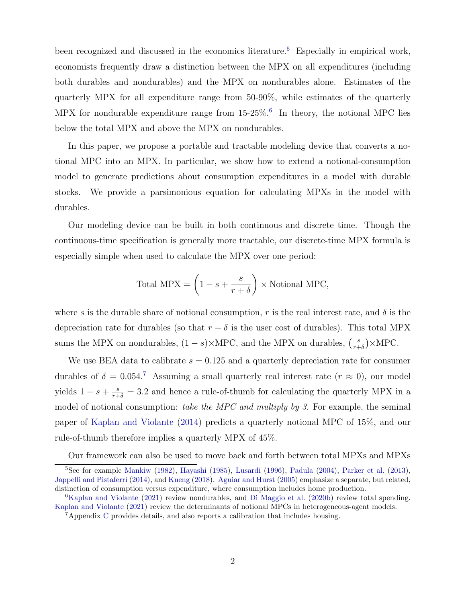been recognized and discussed in the economics literature.<sup>[5](#page-0-0)</sup> Especially in empirical work, economists frequently draw a distinction between the MPX on all expenditures (including both durables and nondurables) and the MPX on nondurables alone. Estimates of the quarterly MPX for all expenditure range from 50-90%, while estimates of the quarterly MPX for nondurable expenditure range from  $15{\text -}25\%$ . In theory, the notional MPC lies below the total MPX and above the MPX on nondurables.

In this paper, we propose a portable and tractable modeling device that converts a notional MPC into an MPX. In particular, we show how to extend a notional-consumption model to generate predictions about consumption expenditures in a model with durable stocks. We provide a parsimonious equation for calculating MPXs in the model with durables.

Our modeling device can be built in both continuous and discrete time. Though the continuous-time specification is generally more tractable, our discrete-time MPX formula is especially simple when used to calculate the MPX over one period:

Total 
$$
MPX = \left(1 - s + \frac{s}{r + \delta}\right) \times \text{Notional MPC},
$$

where s is the durable share of notional consumption, r is the real interest rate, and  $\delta$  is the depreciation rate for durables (so that  $r + \delta$  is the user cost of durables). This total MPX sums the MPX on nondurables,  $(1-s) \times \text{MPC}$ , and the MPX on durables,  $\left(\frac{s}{s+1}\right)$  $\frac{s}{r+\delta}$ )×MPC.

We use BEA data to calibrate  $s = 0.125$  and a quarterly depreciation rate for consumer durables of  $\delta = 0.054$ .<sup>[7](#page-0-0)</sup> Assuming a small quarterly real interest rate  $(r \approx 0)$ , our model yields  $1 - s + \frac{s}{r+\delta} = 3.2$  and hence a rule-of-thumb for calculating the quarterly MPX in a model of notional consumption: take the MPC and multiply by 3. For example, the seminal paper of [Kaplan and Violante](#page-22-0) [\(2014\)](#page-22-0) predicts a quarterly notional MPC of 15%, and our rule-of-thumb therefore implies a quarterly MPX of 45%.

Our framework can also be used to move back and forth between total MPXs and MPXs

 $5$ See for example [Mankiw](#page-23-0) [\(1982\)](#page-23-0), [Hayashi](#page-22-1) [\(1985\)](#page-22-1), [Lusardi](#page-23-1) [\(1996\)](#page-23-1), [Padula](#page-23-2) [\(2004\)](#page-23-2), [Parker et al.](#page-23-3) [\(2013\)](#page-23-3), [Jappelli and Pistaferri](#page-22-2) [\(2014\)](#page-22-2), and [Kueng](#page-23-4) [\(2018\)](#page-23-4). [Aguiar and Hurst](#page-21-3) [\(2005\)](#page-21-3) emphasize a separate, but related, distinction of consumption versus expenditure, where consumption includes home production.

<sup>6</sup>[Kaplan and Violante](#page-22-3) [\(2021\)](#page-22-3) review nondurables, and [Di Maggio et al.](#page-23-5) [\(2020b\)](#page-23-5) review total spending. [Kaplan and Violante](#page-22-3) [\(2021\)](#page-22-3) review the determinants of notional MPCs in heterogeneous-agent models.

<sup>7</sup>Appendix [C](#page-31-0) provides details, and also reports a calibration that includes housing.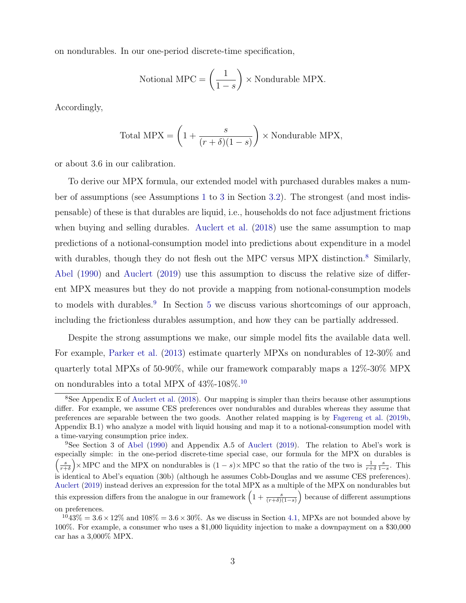on nondurables. In our one-period discrete-time specification,

Notional MPC = 
$$
\left(\frac{1}{1-s}\right)
$$
 × Nondurable MPX.

Accordingly,

Total 
$$
MPX = \left(1 + \frac{s}{(r+\delta)(1-s)}\right) \times \text{Nondurable } MPX,
$$

or about 3.6 in our calibration.

To derive our MPX formula, our extended model with purchased durables makes a number of assumptions (see Assumptions [1](#page-9-0) to [3](#page-10-0) in Section [3.2\)](#page-8-0). The strongest (and most indispensable) of these is that durables are liquid, i.e., households do not face adjustment frictions when buying and selling durables. [Auclert et al.](#page-21-4) [\(2018\)](#page-21-4) use the same assumption to map predictions of a notional-consumption model into predictions about expenditure in a model with durables, though they do not flesh out the MPC versus MPX distinction.<sup>[8](#page-0-0)</sup> Similarly, [Abel](#page-21-5) [\(1990\)](#page-21-5) and [Auclert](#page-21-0) [\(2019\)](#page-21-0) use this assumption to discuss the relative size of different MPX measures but they do not provide a mapping from notional-consumption models to models with durables.<sup>[9](#page-0-0)</sup> In Section [5](#page-18-0) we discuss various shortcomings of our approach, including the frictionless durables assumption, and how they can be partially addressed.

Despite the strong assumptions we make, our simple model fits the available data well. For example, [Parker et al.](#page-23-3) [\(2013\)](#page-23-3) estimate quarterly MPXs on nondurables of 12-30% and quarterly total MPXs of 50-90%, while our framework comparably maps a 12%-30% MPX on nondurables into a total MPX of  $43\%$  -[10](#page-0-0)8%.  $^{10}$ 

<sup>9</sup>See Section 3 of [Abel](#page-21-5) [\(1990\)](#page-21-5) and Appendix A.5 of [Auclert](#page-21-0) [\(2019\)](#page-21-0). The relation to Abel's work is especially simple: in the one-period discrete-time special case, our formula for the MPX on durables is  $\left(\frac{s}{r+\delta}\right)$  × MPC and the MPX on nondurables is  $(1-s)$  × MPC so that the ratio of the two is  $\frac{1}{r+\delta}\frac{s}{1-s}$ . This is identical to Abel's equation (30b) (although he assumes Cobb-Douglas and we assume CES preferences). [Auclert](#page-21-0) [\(2019\)](#page-21-0) instead derives an expression for the total MPX as a multiple of the MPX on nondurables but this expression differs from the analogue in our framework  $\left(1+\frac{s}{(r+\delta)(1-s)}\right)$  because of different assumptions on preferences.

<sup>8</sup>See Appendix E of [Auclert et al.](#page-21-4) [\(2018\)](#page-21-4). Our mapping is simpler than theirs because other assumptions differ. For example, we assume CES preferences over nondurables and durables whereas they assume that preferences are separable between the two goods. Another related mapping is by [Fagereng et al.](#page-22-4) [\(2019b,](#page-22-4) Appendix B.1) who analyze a model with liquid housing and map it to a notional-consumption model with a time-varying consumption price index.

 $1043\% = 3.6 \times 12\%$  and  $108\% = 3.6 \times 30\%$ . As we discuss in Section [4.1,](#page-13-0) MPXs are not bounded above by 100%. For example, a consumer who uses a \$1,000 liquidity injection to make a downpayment on a \$30,000 car has a 3,000% MPX.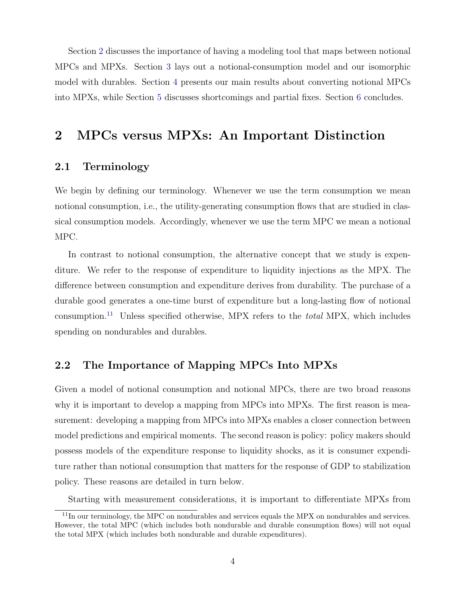Section [2](#page-4-0) discusses the importance of having a modeling tool that maps between notional MPCs and MPXs. Section [3](#page-7-0) lays out a notional-consumption model and our isomorphic model with durables. Section [4](#page-13-1) presents our main results about converting notional MPCs into MPXs, while Section [5](#page-18-0) discusses shortcomings and partial fixes. Section [6](#page-20-0) concludes.

## <span id="page-4-0"></span>2 MPCs versus MPXs: An Important Distinction

#### 2.1 Terminology

We begin by defining our terminology. Whenever we use the term consumption we mean notional consumption, i.e., the utility-generating consumption flows that are studied in classical consumption models. Accordingly, whenever we use the term MPC we mean a notional MPC.

In contrast to notional consumption, the alternative concept that we study is expenditure. We refer to the response of expenditure to liquidity injections as the MPX. The difference between consumption and expenditure derives from durability. The purchase of a durable good generates a one-time burst of expenditure but a long-lasting flow of notional consumption.<sup>[11](#page-0-0)</sup> Unless specified otherwise, MPX refers to the *total* MPX, which includes spending on nondurables and durables.

### 2.2 The Importance of Mapping MPCs Into MPXs

Given a model of notional consumption and notional MPCs, there are two broad reasons why it is important to develop a mapping from MPCs into MPXs. The first reason is measurement: developing a mapping from MPCs into MPXs enables a closer connection between model predictions and empirical moments. The second reason is policy: policy makers should possess models of the expenditure response to liquidity shocks, as it is consumer expenditure rather than notional consumption that matters for the response of GDP to stabilization policy. These reasons are detailed in turn below.

Starting with measurement considerations, it is important to differentiate MPXs from

<sup>&</sup>lt;sup>11</sup>In our terminology, the MPC on nondurables and services equals the MPX on nondurables and services. However, the total MPC (which includes both nondurable and durable consumption flows) will not equal the total MPX (which includes both nondurable and durable expenditures).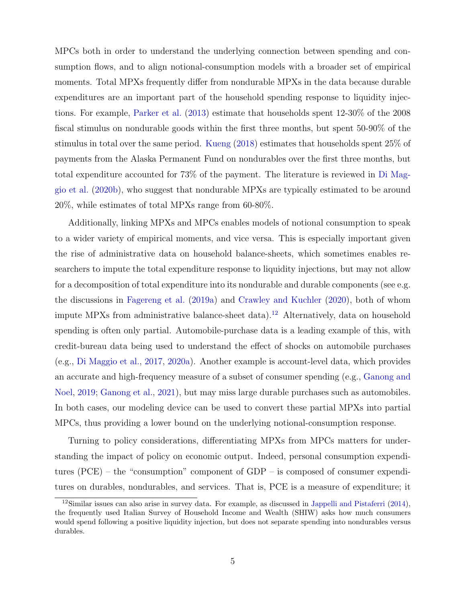MPCs both in order to understand the underlying connection between spending and consumption flows, and to align notional-consumption models with a broader set of empirical moments. Total MPXs frequently differ from nondurable MPXs in the data because durable expenditures are an important part of the household spending response to liquidity injections. For example, [Parker et al.](#page-23-3) [\(2013\)](#page-23-3) estimate that households spent 12-30% of the 2008 fiscal stimulus on nondurable goods within the first three months, but spent 50-90% of the stimulus in total over the same period. [Kueng](#page-23-4) [\(2018\)](#page-23-4) estimates that households spent 25% of payments from the Alaska Permanent Fund on nondurables over the first three months, but total expenditure accounted for 73% of the payment. The literature is reviewed in [Di Mag](#page-23-5)[gio et al.](#page-23-5) [\(2020b\)](#page-23-5), who suggest that nondurable MPXs are typically estimated to be around 20%, while estimates of total MPXs range from 60-80%.

Additionally, linking MPXs and MPCs enables models of notional consumption to speak to a wider variety of empirical moments, and vice versa. This is especially important given the rise of administrative data on household balance-sheets, which sometimes enables researchers to impute the total expenditure response to liquidity injections, but may not allow for a decomposition of total expenditure into its nondurable and durable components (see e.g. the discussions in [Fagereng et al.](#page-22-5) [\(2019a\)](#page-22-5) and [Crawley and Kuchler](#page-21-1) [\(2020\)](#page-21-1), both of whom impute MPXs from administrative balance-sheet data).<sup>[12](#page-0-0)</sup> Alternatively, data on household spending is often only partial. Automobile-purchase data is a leading example of this, with credit-bureau data being used to understand the effect of shocks on automobile purchases (e.g., [Di Maggio et al.,](#page-23-6) [2017,](#page-23-6) [2020a\)](#page-23-7). Another example is account-level data, which provides an accurate and high-frequency measure of a subset of consumer spending (e.g., [Ganong and](#page-22-6) [Noel,](#page-22-6) [2019;](#page-22-6) [Ganong et al.,](#page-22-7) [2021\)](#page-22-7), but may miss large durable purchases such as automobiles. In both cases, our modeling device can be used to convert these partial MPXs into partial MPCs, thus providing a lower bound on the underlying notional-consumption response.

Turning to policy considerations, differentiating MPXs from MPCs matters for understanding the impact of policy on economic output. Indeed, personal consumption expenditures (PCE) – the "consumption" component of GDP – is composed of consumer expenditures on durables, nondurables, and services. That is, PCE is a measure of expenditure; it

<sup>&</sup>lt;sup>12</sup>Similar issues can also arise in survey data. For example, as discussed in [Jappelli and Pistaferri](#page-22-2)  $(2014)$ , the frequently used Italian Survey of Household Income and Wealth (SHIW) asks how much consumers would spend following a positive liquidity injection, but does not separate spending into nondurables versus durables.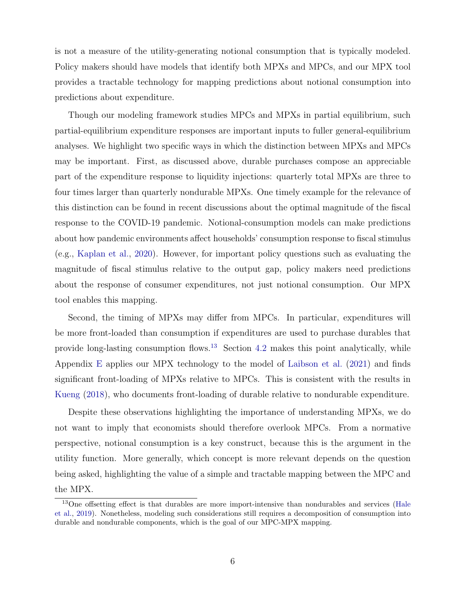is not a measure of the utility-generating notional consumption that is typically modeled. Policy makers should have models that identify both MPXs and MPCs, and our MPX tool provides a tractable technology for mapping predictions about notional consumption into predictions about expenditure.

Though our modeling framework studies MPCs and MPXs in partial equilibrium, such partial-equilibrium expenditure responses are important inputs to fuller general-equilibrium analyses. We highlight two specific ways in which the distinction between MPXs and MPCs may be important. First, as discussed above, durable purchases compose an appreciable part of the expenditure response to liquidity injections: quarterly total MPXs are three to four times larger than quarterly nondurable MPXs. One timely example for the relevance of this distinction can be found in recent discussions about the optimal magnitude of the fiscal response to the COVID-19 pandemic. Notional-consumption models can make predictions about how pandemic environments affect households' consumption response to fiscal stimulus (e.g., [Kaplan et al.,](#page-23-8) [2020\)](#page-23-8). However, for important policy questions such as evaluating the magnitude of fiscal stimulus relative to the output gap, policy makers need predictions about the response of consumer expenditures, not just notional consumption. Our MPX tool enables this mapping.

Second, the timing of MPXs may differ from MPCs. In particular, expenditures will be more front-loaded than consumption if expenditures are used to purchase durables that provide long-lasting consumption flows.<sup>[13](#page-0-0)</sup> Section [4.2](#page-15-0) makes this point analytically, while Appendix [E](#page-33-0) applies our MPX technology to the model of [Laibson et al.](#page-23-9) [\(2021\)](#page-23-9) and finds significant front-loading of MPXs relative to MPCs. This is consistent with the results in [Kueng](#page-23-4) [\(2018\)](#page-23-4), who documents front-loading of durable relative to nondurable expenditure.

Despite these observations highlighting the importance of understanding MPXs, we do not want to imply that economists should therefore overlook MPCs. From a normative perspective, notional consumption is a key construct, because this is the argument in the utility function. More generally, which concept is more relevant depends on the question being asked, highlighting the value of a simple and tractable mapping between the MPC and the MPX.

<sup>&</sup>lt;sup>13</sup>One offsetting effect is that durables are more import-intensive than nondurables and services [\(Hale](#page-22-8) [et al.,](#page-22-8) [2019\)](#page-22-8). Nonetheless, modeling such considerations still requires a decomposition of consumption into durable and nondurable components, which is the goal of our MPC-MPX mapping.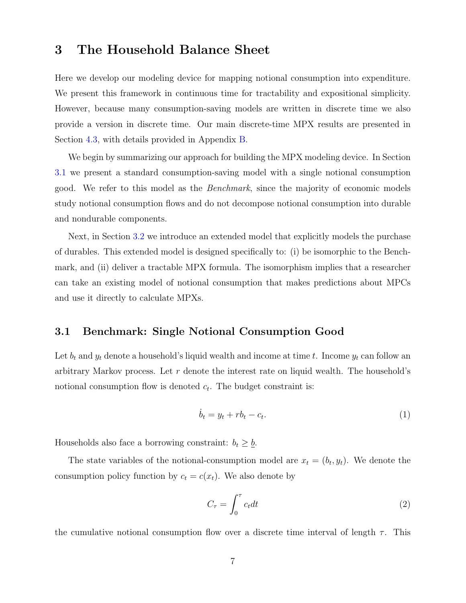### <span id="page-7-0"></span>3 The Household Balance Sheet

Here we develop our modeling device for mapping notional consumption into expenditure. We present this framework in continuous time for tractability and expositional simplicity. However, because many consumption-saving models are written in discrete time we also provide a version in discrete time. Our main discrete-time MPX results are presented in Section [4.3,](#page-16-0) with details provided in Appendix [B.](#page-26-0)

We begin by summarizing our approach for building the MPX modeling device. In Section [3.1](#page-7-1) we present a standard consumption-saving model with a single notional consumption good. We refer to this model as the Benchmark, since the majority of economic models study notional consumption flows and do not decompose notional consumption into durable and nondurable components.

Next, in Section [3.2](#page-8-0) we introduce an extended model that explicitly models the purchase of durables. This extended model is designed specifically to: (i) be isomorphic to the Benchmark, and (ii) deliver a tractable MPX formula. The isomorphism implies that a researcher can take an existing model of notional consumption that makes predictions about MPCs and use it directly to calculate MPXs.

#### <span id="page-7-1"></span>3.1 Benchmark: Single Notional Consumption Good

Let  $b_t$  and  $y_t$  denote a household's liquid wealth and income at time t. Income  $y_t$  can follow an arbitrary Markov process. Let  $r$  denote the interest rate on liquid wealth. The household's notional consumption flow is denoted  $c_t$ . The budget constraint is:

<span id="page-7-2"></span>
$$
\dot{b}_t = y_t + rb_t - c_t. \tag{1}
$$

Households also face a borrowing constraint:  $b_t \geq \underline{b}$ .

The state variables of the notional-consumption model are  $x_t = (b_t, y_t)$ . We denote the consumption policy function by  $c_t = c(x_t)$ . We also denote by

<span id="page-7-3"></span>
$$
C_{\tau} = \int_0^{\tau} c_t dt
$$
 (2)

the cumulative notional consumption flow over a discrete time interval of length  $\tau$ . This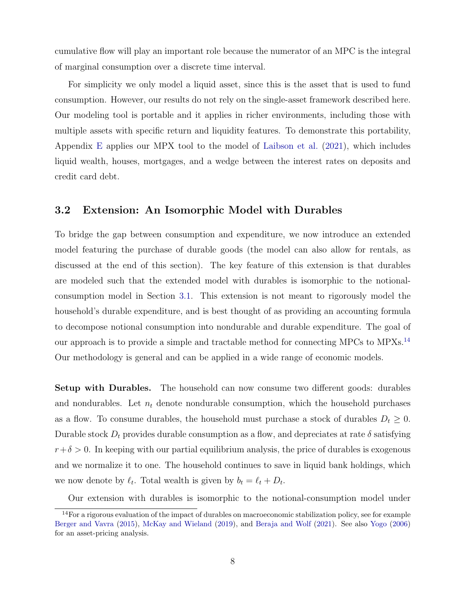cumulative flow will play an important role because the numerator of an MPC is the integral of marginal consumption over a discrete time interval.

For simplicity we only model a liquid asset, since this is the asset that is used to fund consumption. However, our results do not rely on the single-asset framework described here. Our modeling tool is portable and it applies in richer environments, including those with multiple assets with specific return and liquidity features. To demonstrate this portability, Appendix [E](#page-33-0) applies our MPX tool to the model of [Laibson et al.](#page-23-9) [\(2021\)](#page-23-9), which includes liquid wealth, houses, mortgages, and a wedge between the interest rates on deposits and credit card debt.

#### <span id="page-8-0"></span>3.2 Extension: An Isomorphic Model with Durables

To bridge the gap between consumption and expenditure, we now introduce an extended model featuring the purchase of durable goods (the model can also allow for rentals, as discussed at the end of this section). The key feature of this extension is that durables are modeled such that the extended model with durables is isomorphic to the notionalconsumption model in Section [3.1.](#page-7-1) This extension is not meant to rigorously model the household's durable expenditure, and is best thought of as providing an accounting formula to decompose notional consumption into nondurable and durable expenditure. The goal of our approach is to provide a simple and tractable method for connecting MPCs to MPXs.<sup>[14](#page-0-0)</sup> Our methodology is general and can be applied in a wide range of economic models.

Setup with Durables. The household can now consume two different goods: durables and nondurables. Let  $n_t$  denote nondurable consumption, which the household purchases as a flow. To consume durables, the household must purchase a stock of durables  $D_t \geq 0$ . Durable stock  $D_t$  provides durable consumption as a flow, and depreciates at rate  $\delta$  satisfying  $r+\delta > 0$ . In keeping with our partial equilibrium analysis, the price of durables is exogenous and we normalize it to one. The household continues to save in liquid bank holdings, which we now denote by  $\ell_t$ . Total wealth is given by  $b_t = \ell_t + D_t$ .

Our extension with durables is isomorphic to the notional-consumption model under

<sup>14</sup>For a rigorous evaluation of the impact of durables on macroeconomic stabilization policy, see for example [Berger and Vavra](#page-21-6) [\(2015\)](#page-21-6), [McKay and Wieland](#page-23-10) [\(2019\)](#page-23-10), and [Beraja and Wolf](#page-21-7) [\(2021\)](#page-21-7). See also [Yogo](#page-23-11) [\(2006\)](#page-23-11) for an asset-pricing analysis.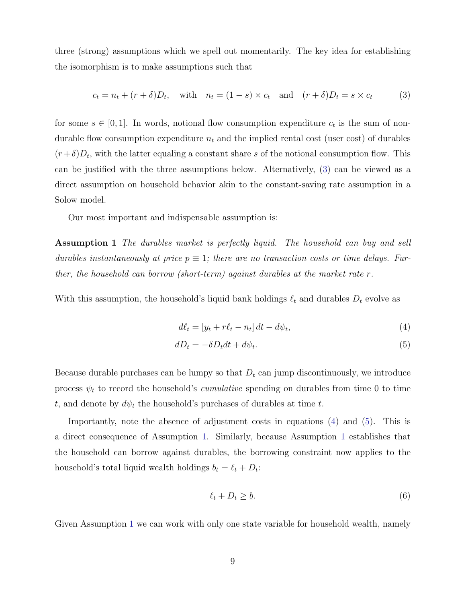three (strong) assumptions which we spell out momentarily. The key idea for establishing the isomorphism is to make assumptions such that

<span id="page-9-1"></span>
$$
c_t = n_t + (r + \delta)D_t, \quad \text{with} \quad n_t = (1 - s) \times c_t \quad \text{and} \quad (r + \delta)D_t = s \times c_t \tag{3}
$$

for some  $s \in [0,1]$ . In words, notional flow consumption expenditure  $c_t$  is the sum of nondurable flow consumption expenditure  $n_t$  and the implied rental cost (user cost) of durables  $(r+\delta)D_t$ , with the latter equaling a constant share s of the notional consumption flow. This can be justified with the three assumptions below. Alternatively, [\(3\)](#page-9-1) can be viewed as a direct assumption on household behavior akin to the constant-saving rate assumption in a Solow model.

Our most important and indispensable assumption is:

Assumption 1 The durables market is perfectly liquid. The household can buy and sell durables instantaneously at price  $p \equiv 1$ ; there are no transaction costs or time delays. Further, the household can borrow (short-term) against durables at the market rate  $r$ .

With this assumption, the household's liquid bank holdings  $\ell_t$  and durables  $D_t$  evolve as

<span id="page-9-3"></span><span id="page-9-2"></span><span id="page-9-0"></span>
$$
d\ell_t = [y_t + r\ell_t - n_t] dt - d\psi_t,\tag{4}
$$

$$
dD_t = -\delta D_t dt + d\psi_t. \tag{5}
$$

Because durable purchases can be lumpy so that  $D_t$  can jump discontinuously, we introduce process  $\psi_t$  to record the household's *cumulative* spending on durables from time 0 to time t, and denote by  $d\psi_t$  the household's purchases of durables at time t.

Importantly, note the absence of adjustment costs in equations [\(4\)](#page-9-2) and [\(5\)](#page-9-3). This is a direct consequence of Assumption [1.](#page-9-0) Similarly, because Assumption [1](#page-9-0) establishes that the household can borrow against durables, the borrowing constraint now applies to the household's total liquid wealth holdings  $b_t = \ell_t + D_t$ :

$$
\ell_t + D_t \ge \underline{b}.\tag{6}
$$

Given Assumption [1](#page-9-0) we can work with only one state variable for household wealth, namely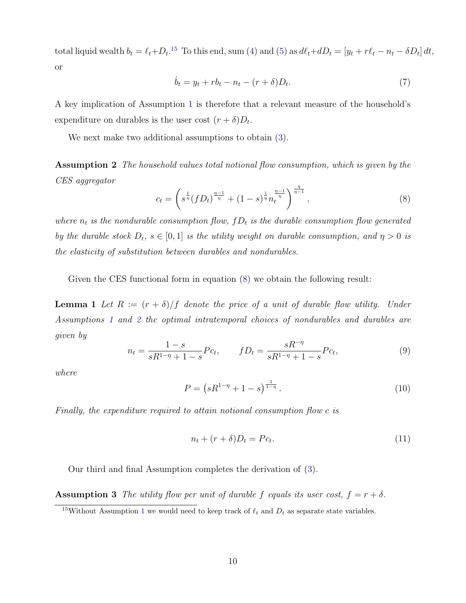total liquid wealth  $b_t = \ell_t + D_t$ .<sup>[15](#page-0-0)</sup> To this end, sum [\(4\)](#page-9-2) and [\(5\)](#page-9-3) as  $d\ell_t + dD_t = [y_t + r\ell_t - n_t - \delta D_t] dt$ , or

<span id="page-10-7"></span>
$$
\dot{b}_t = y_t + rb_t - n_t - (r + \delta)D_t.
$$
\n
$$
(7)
$$

A key implication of Assumption [1](#page-9-0) is therefore that a relevant measure of the household's expenditure on durables is the user cost  $(r + \delta)D_t$ .

<span id="page-10-2"></span>We next make two additional assumptions to obtain [\(3\)](#page-9-1).

Assumption 2 The household values total notional flow consumption, which is given by the CES aggregator

<span id="page-10-1"></span>
$$
c_t = \left(s^{\frac{1}{\eta}}(fD_t)^{\frac{\eta-1}{\eta}} + (1-s)^{\frac{1}{\eta}} n_t^{\frac{\eta-1}{\eta}}\right)^{\frac{\eta}{\eta-1}},\tag{8}
$$

where  $n_t$  is the nondurable consumption flow,  $fD_t$  is the durable consumption flow generated by the durable stock  $D_t$ ,  $s \in [0,1]$  is the utility weight on durable consumption, and  $\eta > 0$  is the elasticity of substitution between durables and nondurables.

Given the CES functional form in equation [\(8\)](#page-10-1) we obtain the following result:

**Lemma 1** Let  $R := (r + \delta)/f$  denote the price of a unit of durable flow utility. Under Assumptions [1](#page-9-0) and [2](#page-10-2) the optimal intratemporal choices of nondurables and durables are given by

<span id="page-10-4"></span>
$$
n_t = \frac{1-s}{sR^{1-\eta} + 1-s} P c_t, \qquad fD_t = \frac{sR^{-\eta}}{sR^{1-\eta} + 1-s} P c_t,
$$
\n(9)

where

<span id="page-10-6"></span><span id="page-10-3"></span>
$$
P = \left(sR^{1-\eta} + 1 - s\right)^{\frac{1}{1-\eta}}.\tag{10}
$$

Finally, the expenditure required to attain notional consumption flow c is

<span id="page-10-5"></span><span id="page-10-0"></span>
$$
n_t + (r + \delta)D_t = Pc_t.
$$
\n<sup>(11)</sup>

Our third and final Assumption completes the derivation of [\(3\)](#page-9-1).

**Assumption 3** The utility flow per unit of durable f equals its user cost,  $f = r + \delta$ .

<sup>&</sup>lt;sup>[1](#page-9-0)5</sup>Without Assumption 1 we would need to keep track of  $\ell_t$  and  $D_t$  as separate state variables.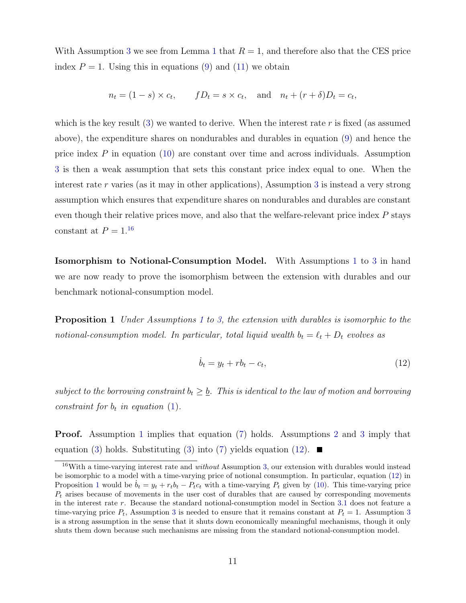With Assumption [3](#page-10-0) we see from Lemma [1](#page-10-3) that  $R = 1$ , and therefore also that the CES price index  $P = 1$ . Using this in equations [\(9\)](#page-10-4) and [\(11\)](#page-10-5) we obtain

$$
n_t = (1 - s) \times c_t, \qquad fD_t = s \times c_t, \quad \text{and} \quad n_t + (r + \delta)D_t = c_t,
$$

which is the key result  $(3)$  we wanted to derive. When the interest rate r is fixed (as assumed above), the expenditure shares on nondurables and durables in equation [\(9\)](#page-10-4) and hence the price index  $P$  in equation [\(10\)](#page-10-6) are constant over time and across individuals. Assumption [3](#page-10-0) is then a weak assumption that sets this constant price index equal to one. When the interest rate r varies (as it may in other applications), Assumption [3](#page-10-0) is instead a very strong assumption which ensures that expenditure shares on nondurables and durables are constant even though their relative prices move, and also that the welfare-relevant price index P stays constant at  $P = 1.16$  $P = 1.16$ 

Isomorphism to Notional-Consumption Model. With Assumptions [1](#page-9-0) to [3](#page-10-0) in hand we are now ready to prove the isomorphism between the extension with durables and our benchmark notional-consumption model.

<span id="page-11-1"></span>**Proposition [1](#page-9-0)** Under Assumptions 1 to [3,](#page-10-0) the extension with durables is isomorphic to the notional-consumption model. In particular, total liquid wealth  $b_t = \ell_t + D_t$  evolves as

<span id="page-11-0"></span>
$$
\dot{b}_t = y_t + rb_t - c_t,\tag{12}
$$

subject to the borrowing constraint  $b_t \geq \underline{b}$ . This is identical to the law of motion and borrowing constraint for  $b_t$  in equation [\(1\)](#page-7-2).

Proof. Assumption [1](#page-9-0) implies that equation [\(7\)](#page-10-7) holds. Assumptions [2](#page-10-2) and [3](#page-10-0) imply that equation [\(3\)](#page-9-1) holds. Substituting (3) into [\(7\)](#page-10-7) yields equation [\(12\)](#page-11-0).  $\blacksquare$ 

<sup>&</sup>lt;sup>16</sup>With a time-varying interest rate and *without* Assumption [3,](#page-10-0) our extension with durables would instead be isomorphic to a model with a time-varying price of notional consumption. In particular, equation [\(12\)](#page-11-0) in Proposition [1](#page-11-1) would be  $b_t = y_t + r_t b_t - P_t c_t$  with a time-varying  $P_t$  given by [\(10\)](#page-10-6). This time-varying price  $P_t$  arises because of movements in the user cost of durables that are caused by corresponding movements in the interest rate r. Because the standard notional-consumption model in Section [3.1](#page-7-1) does not feature a time-varying price  $P_t$ , Assumption [3](#page-10-0) is needed to ensure that it remains constant at  $P_t = 1$ . Assumption 3 is a strong assumption in the sense that it shuts down economically meaningful mechanisms, though it only shuts them down because such mechanisms are missing from the standard notional-consumption model.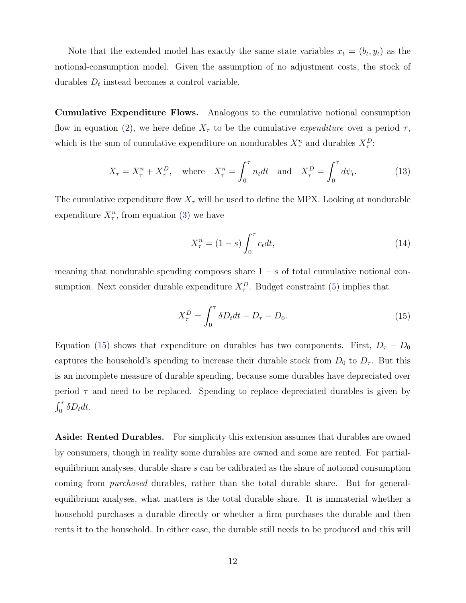Note that the extended model has exactly the same state variables  $x_t = (b_t, y_t)$  as the notional-consumption model. Given the assumption of no adjustment costs, the stock of durables  $D_t$  instead becomes a control variable.

Cumulative Expenditure Flows. Analogous to the cumulative notional consumption flow in equation [\(2\)](#page-7-3), we here define  $X_{\tau}$  to be the cumulative *expenditure* over a period  $\tau$ , which is the sum of cumulative expenditure on nondurables  $X_{\tau}^n$  and durables  $X_{\tau}^D$ .

<span id="page-12-1"></span>
$$
X_{\tau} = X_{\tau}^{n} + X_{\tau}^{D}, \quad \text{where} \quad X_{\tau}^{n} = \int_{0}^{\tau} n_{t} dt \quad \text{and} \quad X_{\tau}^{D} = \int_{0}^{\tau} d\psi_{t}.
$$
 (13)

The cumulative expenditure flow  $X_{\tau}$  will be used to define the MPX. Looking at nondurable expenditure  $X_{\tau}^n$ , from equation [\(3\)](#page-9-1) we have

<span id="page-12-2"></span>
$$
X_{\tau}^{n} = (1 - s) \int_{0}^{\tau} c_{t} dt,
$$
\n(14)

<span id="page-12-0"></span>meaning that nondurable spending composes share  $1 - s$  of total cumulative notional consumption. Next consider durable expenditure  $X_{\tau}^{D}$ . Budget constraint [\(5\)](#page-9-3) implies that

$$
X_{\tau}^{D} = \int_0^{\tau} \delta D_t dt + D_{\tau} - D_0.
$$
\n(15)

Equation [\(15\)](#page-12-0) shows that expenditure on durables has two components. First,  $D_{\tau} - D_0$ captures the household's spending to increase their durable stock from  $D_0$  to  $D_{\tau}$ . But this is an incomplete measure of durable spending, because some durables have depreciated over period  $\tau$  and need to be replaced. Spending to replace depreciated durables is given by  $\int_0^{\tau} \delta D_t dt$ .

Aside: Rented Durables. For simplicity this extension assumes that durables are owned by consumers, though in reality some durables are owned and some are rented. For partialequilibrium analyses, durable share s can be calibrated as the share of notional consumption coming from purchased durables, rather than the total durable share. But for generalequilibrium analyses, what matters is the total durable share. It is immaterial whether a household purchases a durable directly or whether a firm purchases the durable and then rents it to the household. In either case, the durable still needs to be produced and this will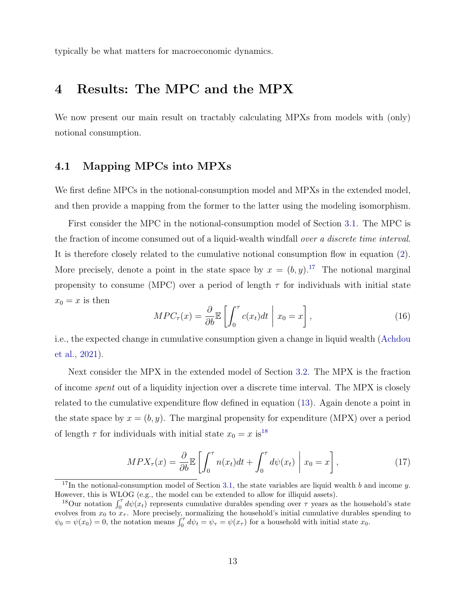typically be what matters for macroeconomic dynamics.

## <span id="page-13-1"></span>4 Results: The MPC and the MPX

We now present our main result on tractably calculating MPXs from models with (only) notional consumption.

#### <span id="page-13-0"></span>4.1 Mapping MPCs into MPXs

We first define MPCs in the notional-consumption model and MPXs in the extended model, and then provide a mapping from the former to the latter using the modeling isomorphism.

First consider the MPC in the notional-consumption model of Section [3.1.](#page-7-1) The MPC is the fraction of income consumed out of a liquid-wealth windfall over a discrete time interval. It is therefore closely related to the cumulative notional consumption flow in equation [\(2\)](#page-7-3). More precisely, denote a point in the state space by  $x = (b, y)$ .<sup>[17](#page-0-0)</sup> The notional marginal propensity to consume (MPC) over a period of length  $\tau$  for individuals with initial state  $x_0 = x$  is then

<span id="page-13-2"></span>
$$
MPC_{\tau}(x) = \frac{\partial}{\partial b} \mathbb{E} \left[ \int_0^{\tau} c(x_t) dt \mid x_0 = x \right], \tag{16}
$$

i.e., the expected change in cumulative consumption given a change in liquid wealth [\(Achdou](#page-21-8) [et al.,](#page-21-8) [2021\)](#page-21-8).

Next consider the MPX in the extended model of Section [3.2.](#page-8-0) The MPX is the fraction of income spent out of a liquidity injection over a discrete time interval. The MPX is closely related to the cumulative expenditure flow defined in equation [\(13\)](#page-12-1). Again denote a point in the state space by  $x = (b, y)$ . The marginal propensity for expenditure (MPX) over a period of length  $\tau$  for individuals with initial state  $x_0 = x$  is<sup>[18](#page-0-0)</sup>

<span id="page-13-3"></span>
$$
MPX_{\tau}(x) = \frac{\partial}{\partial b} \mathbb{E} \left[ \int_0^{\tau} n(x_t) dt + \int_0^{\tau} d\psi(x_t) \middle| x_0 = x \right], \tag{17}
$$

<sup>&</sup>lt;sup>17</sup>In the notional-consumption model of Section [3.1,](#page-7-1) the state variables are liquid wealth b and income y. However, this is WLOG (e.g., the model can be extended to allow for illiquid assets).

<sup>&</sup>lt;sup>18</sup>Our notation  $\int_0^{\tau} d\psi(x_t)$  represents cumulative durables spending over  $\tau$  years as the household's state evolves from  $x_0$  to  $x_\tau$ . More precisely, normalizing the household's initial cumulative durables spending to  $\psi_0 = \psi(x_0) = 0$ , the notation means  $\int_0^{\tau} d\psi_t = \psi_\tau = \psi(x_\tau)$  for a household with initial state  $x_0$ .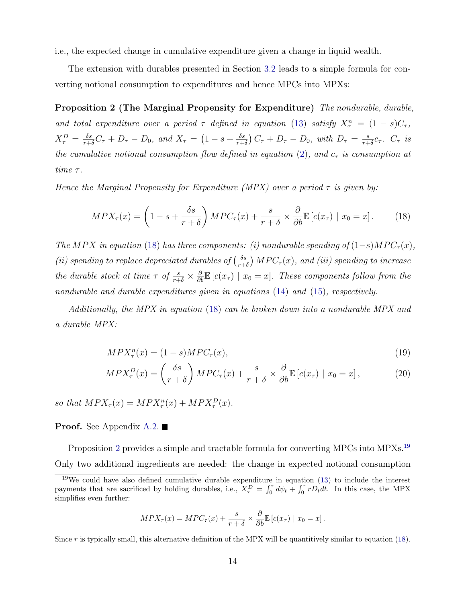i.e., the expected change in cumulative expenditure given a change in liquid wealth.

The extension with durables presented in Section [3.2](#page-8-0) leads to a simple formula for converting notional consumption to expenditures and hence MPCs into MPXs:

Proposition 2 (The Marginal Propensity for Expenditure) The nondurable, durable, and total expenditure over a period  $\tau$  defined in equation [\(13\)](#page-12-1) satisfy  $X_{\tau}^{n} = (1-s)C_{\tau}$ ,  $X_{\tau}^{D} = \frac{\delta s}{r+\delta}C_{\tau} + D_{\tau} - D_{0}, \text{ and } X_{\tau} = (1 - s + \frac{\delta s}{r+\delta})$  $\frac{\delta s}{r+\delta}$ )  $C_{\tau} + D_{\tau} - D_0$ , with  $D_{\tau} = \frac{s}{r+\delta}$  $\frac{s}{r+\delta}c_\tau$ .  $C_\tau$  is the cumulative notional consumption flow defined in equation [\(2\)](#page-7-3), and  $c_{\tau}$  is consumption at time  $\tau$ .

Hence the Marginal Propensity for Expenditure (MPX) over a period  $\tau$  is given by:

<span id="page-14-1"></span><span id="page-14-0"></span>
$$
MPX_{\tau}(x) = \left(1 - s + \frac{\delta s}{r + \delta}\right) MPC_{\tau}(x) + \frac{s}{r + \delta} \times \frac{\partial}{\partial b} \mathbb{E}\left[c(x_{\tau}) \mid x_0 = x\right].
$$
 (18)

The MPX in equation [\(18\)](#page-14-0) has three components: (i) nondurable spending of  $(1-s)MPC_{\tau}(x)$ , (ii) spending to replace depreciated durables of  $\left(\frac{\delta s}{r+1}\right)$  $\frac{\delta s}{\delta r+\delta}\big) \, MPC_{\tau}(x), \, and \, (iii) \, spending \, to \, increase$ the durable stock at time  $\tau$  of  $\frac{s}{r+\delta} \times \frac{\partial}{\partial b} \mathbb{E} [c(x_{\tau}) \mid x_0 = x]$ . These components follow from the nondurable and durable expenditures given in equations [\(14\)](#page-12-2) and [\(15\)](#page-12-0), respectively.

Additionally, the MPX in equation [\(18\)](#page-14-0) can be broken down into a nondurable MPX and a durable MPX:

<span id="page-14-3"></span><span id="page-14-2"></span>
$$
MPX_{\tau}^{n}(x) = (1-s)MPC_{\tau}(x), \qquad (19)
$$

$$
MPX_{\tau}^{D}(x) = \left(\frac{\delta s}{r+\delta}\right) MPC_{\tau}(x) + \frac{s}{r+\delta} \times \frac{\partial}{\partial b} \mathbb{E}\left[c(x_{\tau}) \mid x_{0} = x\right],\tag{20}
$$

so that  $MPX_{\tau}(x) = MPX_{\tau}^{n}(x) + MPX_{\tau}^{D}(x)$ .

#### **Proof.** See Appendix [A.2.](#page-24-0)  $\blacksquare$

Proposition [2](#page-14-1) provides a simple and tractable formula for converting MPCs into MPXs.<sup>[19](#page-0-0)</sup> Only two additional ingredients are needed: the change in expected notional consumption

$$
MPX_{\tau}(x) = MPC_{\tau}(x) + \frac{s}{r+\delta} \times \frac{\partial}{\partial b} \mathbb{E}\left[c(x_{\tau}) \mid x_0 = x\right].
$$

Since r is typically small, this alternative definition of the MPX will be quantitively similar to equation [\(18\)](#page-14-0).

 $19$ We could have also defined cumulative durable expenditure in equation [\(13\)](#page-12-1) to include the interest payments that are sacrificed by holding durables, i.e.,  $X_{\tau}^{D} = \int_0^{\tau} d\psi_t + \int_0^{\tau} r D_t dt$ . In this case, the MPX simplifies even further: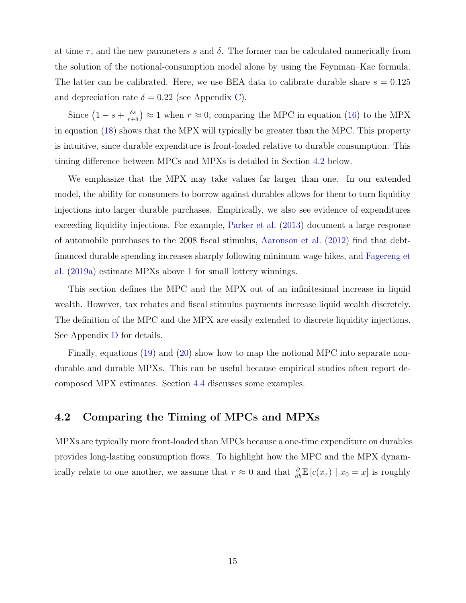at time  $\tau$ , and the new parameters s and  $\delta$ . The former can be calculated numerically from the solution of the notional-consumption model alone by using the Feynman–Kac formula. The latter can be calibrated. Here, we use BEA data to calibrate durable share  $s = 0.125$ and depreciation rate  $\delta = 0.22$  (see Appendix [C\)](#page-31-0).

Since  $\left(1-s+\frac{\delta s}{r+1}\right)$  $\frac{\delta s}{r+\delta}$   $\approx$  1 when  $r \approx 0$ , comparing the MPC in equation [\(16\)](#page-13-2) to the MPX in equation [\(18\)](#page-14-0) shows that the MPX will typically be greater than the MPC. This property is intuitive, since durable expenditure is front-loaded relative to durable consumption. This timing difference between MPCs and MPXs is detailed in Section [4.2](#page-15-0) below.

We emphasize that the MPX may take values far larger than one. In our extended model, the ability for consumers to borrow against durables allows for them to turn liquidity injections into larger durable purchases. Empirically, we also see evidence of expenditures exceeding liquidity injections. For example, [Parker et al.](#page-23-3) [\(2013\)](#page-23-3) document a large response of automobile purchases to the 2008 fiscal stimulus, [Aaronson et al.](#page-21-9) [\(2012\)](#page-21-9) find that debtfinanced durable spending increases sharply following minimum wage hikes, and [Fagereng et](#page-22-5) [al.](#page-22-5) [\(2019a\)](#page-22-5) estimate MPXs above 1 for small lottery winnings.

This section defines the MPC and the MPX out of an infinitesimal increase in liquid wealth. However, tax rebates and fiscal stimulus payments increase liquid wealth discretely. The definition of the MPC and the MPX are easily extended to discrete liquidity injections. See Appendix [D](#page-33-1) for details.

Finally, equations [\(19\)](#page-14-2) and [\(20\)](#page-14-3) show how to map the notional MPC into separate nondurable and durable MPXs. This can be useful because empirical studies often report decomposed MPX estimates. Section [4.4](#page-17-0) discusses some examples.

#### <span id="page-15-0"></span>4.2 Comparing the Timing of MPCs and MPXs

MPXs are typically more front-loaded than MPCs because a one-time expenditure on durables provides long-lasting consumption flows. To highlight how the MPC and the MPX dynamically relate to one another, we assume that  $r \approx 0$  and that  $\frac{\partial}{\partial b} \mathbb{E}[c(x_\tau) | x_0 = x]$  is roughly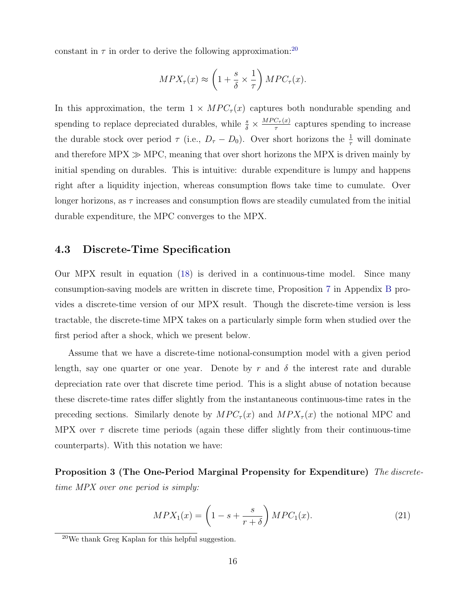constant in  $\tau$  in order to derive the following approximation:<sup>[20](#page-0-0)</sup>

$$
MPX_{\tau}(x) \approx \left(1 + \frac{s}{\delta} \times \frac{1}{\tau}\right) MPC_{\tau}(x).
$$

In this approximation, the term  $1 \times MPC_{\tau}(x)$  captures both nondurable spending and spending to replace depreciated durables, while  $\frac{s}{\delta} \times \frac{MPC_{\tau}(x)}{\tau}$  $\frac{C_{\tau}(x)}{\tau}$  captures spending to increase the durable stock over period  $\tau$  (i.e.,  $D_{\tau} - D_0$ ). Over short horizons the  $\frac{1}{\tau}$  will dominate and therefore  $MPX \gg MPC$ , meaning that over short horizons the MPX is driven mainly by initial spending on durables. This is intuitive: durable expenditure is lumpy and happens right after a liquidity injection, whereas consumption flows take time to cumulate. Over longer horizons, as  $\tau$  increases and consumption flows are steadily cumulated from the initial durable expenditure, the MPC converges to the MPX.

#### <span id="page-16-0"></span>4.3 Discrete-Time Specification

Our MPX result in equation [\(18\)](#page-14-0) is derived in a continuous-time model. Since many consumption-saving models are written in discrete time, Proposition [7](#page-29-0) in Appendix [B](#page-26-0) provides a discrete-time version of our MPX result. Though the discrete-time version is less tractable, the discrete-time MPX takes on a particularly simple form when studied over the first period after a shock, which we present below.

Assume that we have a discrete-time notional-consumption model with a given period length, say one quarter or one year. Denote by r and  $\delta$  the interest rate and durable depreciation rate over that discrete time period. This is a slight abuse of notation because these discrete-time rates differ slightly from the instantaneous continuous-time rates in the preceding sections. Similarly denote by  $MPC_{\tau}(x)$  and  $MPX_{\tau}(x)$  the notional MPC and MPX over  $\tau$  discrete time periods (again these differ slightly from their continuous-time counterparts). With this notation we have:

<span id="page-16-2"></span>Proposition 3 (The One-Period Marginal Propensity for Expenditure) The discretetime MPX over one period is simply:

<span id="page-16-1"></span>
$$
MPX_1(x) = \left(1 - s + \frac{s}{r + \delta}\right) MPC_1(x). \tag{21}
$$

 $20$ We thank Greg Kaplan for this helpful suggestion.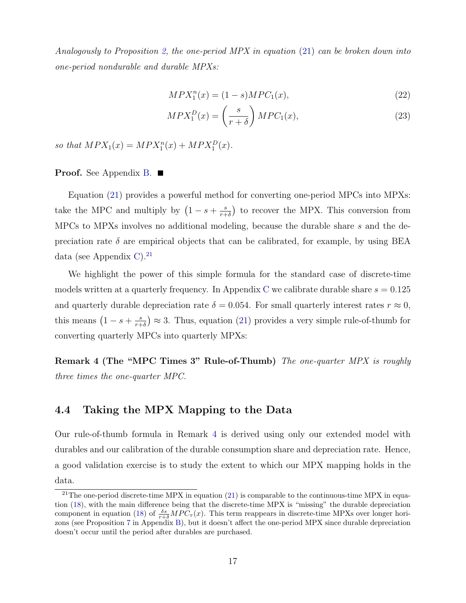Analogously to Proposition [2,](#page-14-1) the one-period MPX in equation  $(21)$  can be broken down into one-period nondurable and durable MPXs:

<span id="page-17-2"></span>
$$
MPX_1^n(x) = (1 - s)MPC_1(x),
$$
\n(22)

$$
MPX_1^D(x) = \left(\frac{s}{r+\delta}\right) MPC_1(x),\tag{23}
$$

so that  $MPX_1(x) = MPX_1^n(x) + MPX_1^D(x)$ .

#### **Proof.** See Appendix [B.](#page-26-0)  $\blacksquare$

Equation [\(21\)](#page-16-1) provides a powerful method for converting one-period MPCs into MPXs: take the MPC and multiply by  $(1-s+\frac{s}{r+1})$  $\frac{s}{r+\delta}$ ) to recover the MPX. This conversion from MPCs to MPXs involves no additional modeling, because the durable share s and the depreciation rate  $\delta$  are empirical objects that can be calibrated, for example, by using BEA data (see Appendix [C\)](#page-31-0).<sup>[21](#page-0-0)</sup>

We highlight the power of this simple formula for the standard case of discrete-time models written at a quarterly frequency. In Appendix [C](#page-31-0) we calibrate durable share  $s = 0.125$ and quarterly durable depreciation rate  $\delta = 0.054$ . For small quarterly interest rates  $r \approx 0$ , this means  $\left(1-s+\frac{s}{r+1}\right)$  $(\frac{s}{r+\delta}) \approx 3$ . Thus, equation [\(21\)](#page-16-1) provides a very simple rule-of-thumb for converting quarterly MPCs into quarterly MPXs:

<span id="page-17-1"></span>Remark 4 (The "MPC Times 3" Rule-of-Thumb) The one-quarter MPX is roughly three times the one-quarter MPC.

#### <span id="page-17-0"></span>4.4 Taking the MPX Mapping to the Data

Our rule-of-thumb formula in Remark [4](#page-17-1) is derived using only our extended model with durables and our calibration of the durable consumption share and depreciation rate. Hence, a good validation exercise is to study the extent to which our MPX mapping holds in the data.

<sup>&</sup>lt;sup>21</sup>The one-period discrete-time MPX in equation  $(21)$  is comparable to the continuous-time MPX in equation [\(18\)](#page-14-0), with the main difference being that the discrete-time MPX is "missing" the durable depreciation component in equation [\(18\)](#page-14-0) of  $\frac{\delta s}{r+\delta}MPC_{\tau}(x)$ . This term reappears in discrete-time MPXs over longer horizons (see Proposition [7](#page-29-0) in Appendix [B\)](#page-26-0), but it doesn't affect the one-period MPX since durable depreciation doesn't occur until the period after durables are purchased.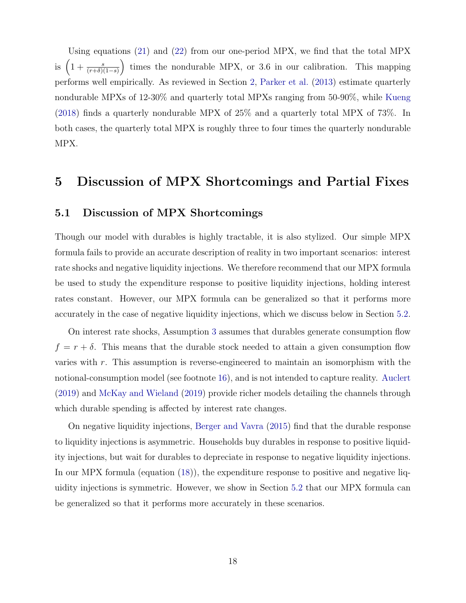Using equations [\(21\)](#page-16-1) and [\(22\)](#page-17-2) from our one-period MPX, we find that the total MPX is  $\left(1+\frac{s}{(r+\delta)(1-s)}\right)$  times the nondurable MPX, or 3.6 in our calibration. This mapping performs well empirically. As reviewed in Section [2,](#page-4-0) [Parker et al.](#page-23-3) [\(2013\)](#page-23-3) estimate quarterly nondurable MPXs of 12-30% and quarterly total MPXs ranging from 50-90%, while [Kueng](#page-23-4) [\(2018\)](#page-23-4) finds a quarterly nondurable MPX of 25% and a quarterly total MPX of 73%. In both cases, the quarterly total MPX is roughly three to four times the quarterly nondurable MPX.

### <span id="page-18-0"></span>5 Discussion of MPX Shortcomings and Partial Fixes

#### <span id="page-18-1"></span>5.1 Discussion of MPX Shortcomings

Though our model with durables is highly tractable, it is also stylized. Our simple MPX formula fails to provide an accurate description of reality in two important scenarios: interest rate shocks and negative liquidity injections. We therefore recommend that our MPX formula be used to study the expenditure response to positive liquidity injections, holding interest rates constant. However, our MPX formula can be generalized so that it performs more accurately in the case of negative liquidity injections, which we discuss below in Section [5.2.](#page-19-0)

On interest rate shocks, Assumption [3](#page-10-0) assumes that durables generate consumption flow  $f = r + \delta$ . This means that the durable stock needed to attain a given consumption flow varies with r. This assumption is reverse-engineered to maintain an isomorphism with the notional-consumption model (see footnote [16\)](#page-10-0), and is not intended to capture reality. [Auclert](#page-21-0) [\(2019\)](#page-21-0) and [McKay and Wieland](#page-23-10) [\(2019\)](#page-23-10) provide richer models detailing the channels through which durable spending is affected by interest rate changes.

On negative liquidity injections, [Berger and Vavra](#page-21-6) [\(2015\)](#page-21-6) find that the durable response to liquidity injections is asymmetric. Households buy durables in response to positive liquidity injections, but wait for durables to depreciate in response to negative liquidity injections. In our MPX formula (equation [\(18\)](#page-14-0)), the expenditure response to positive and negative liquidity injections is symmetric. However, we show in Section [5.2](#page-19-0) that our MPX formula can be generalized so that it performs more accurately in these scenarios.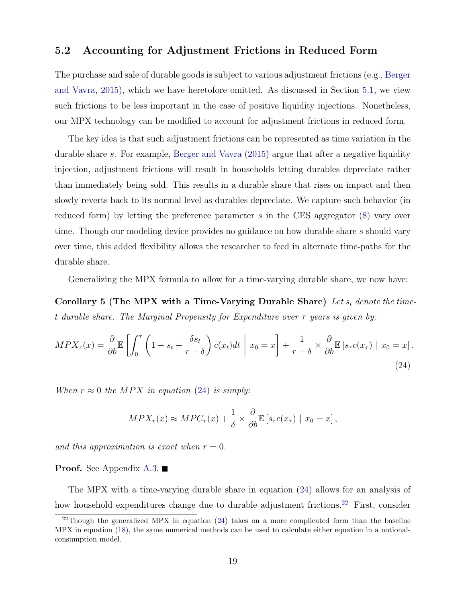#### <span id="page-19-0"></span>5.2 Accounting for Adjustment Frictions in Reduced Form

The purchase and sale of durable goods is subject to various adjustment frictions (e.g., [Berger](#page-21-6) [and Vavra,](#page-21-6) [2015\)](#page-21-6), which we have heretofore omitted. As discussed in Section [5.1,](#page-18-1) we view such frictions to be less important in the case of positive liquidity injections. Nonetheless, our MPX technology can be modified to account for adjustment frictions in reduced form.

The key idea is that such adjustment frictions can be represented as time variation in the durable share s. For example, [Berger and Vavra](#page-21-6) [\(2015\)](#page-21-6) argue that after a negative liquidity injection, adjustment frictions will result in households letting durables depreciate rather than immediately being sold. This results in a durable share that rises on impact and then slowly reverts back to its normal level as durables depreciate. We capture such behavior (in reduced form) by letting the preference parameter s in the CES aggregator  $(8)$  vary over time. Though our modeling device provides no guidance on how durable share s should vary over time, this added flexibility allows the researcher to feed in alternate time-paths for the durable share.

Generalizing the MPX formula to allow for a time-varying durable share, we now have:

Corollary 5 (The MPX with a Time-Varying Durable Share) Let  $s_t$  denote the timet durable share. The Marginal Propensity for Expenditure over  $\tau$  years is given by:

$$
MPX_{\tau}(x) = \frac{\partial}{\partial b} \mathbb{E} \left[ \int_0^{\tau} \left( 1 - s_t + \frac{\delta s_t}{r + \delta} \right) c(x_t) dt \middle| x_0 = x \right] + \frac{1}{r + \delta} \times \frac{\partial}{\partial b} \mathbb{E} \left[ s_{\tau} c(x_{\tau}) \middle| x_0 = x \right]. \tag{24}
$$

When  $r \approx 0$  the MPX in equation [\(24\)](#page-19-1) is simply:

<span id="page-19-2"></span><span id="page-19-1"></span>
$$
MPX_{\tau}(x) \approx MPC_{\tau}(x) + \frac{1}{\delta} \times \frac{\partial}{\partial b} \mathbb{E}\left[s_{\tau}c(x_{\tau}) \mid x_0 = x\right],
$$

and this approximation is exact when  $r = 0$ .

**Proof.** See Appendix [A.3.](#page-25-0)  $\blacksquare$ 

The MPX with a time-varying durable share in equation [\(24\)](#page-19-1) allows for an analysis of how household expenditures change due to durable adjustment frictions.<sup>[22](#page-0-0)</sup> First, consider

<sup>&</sup>lt;sup>22</sup>Though the generalized MPX in equation  $(24)$  takes on a more complicated form than the baseline MPX in equation [\(18\)](#page-14-0), the same numerical methods can be used to calculate either equation in a notionalconsumption model.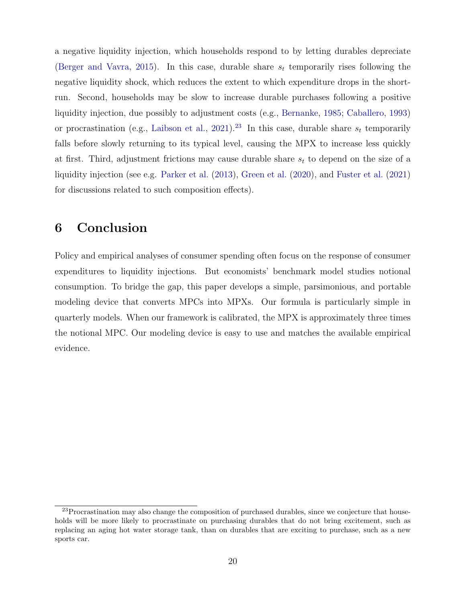a negative liquidity injection, which households respond to by letting durables depreciate [\(Berger and Vavra,](#page-21-6) [2015\)](#page-21-6). In this case, durable share  $s_t$  temporarily rises following the negative liquidity shock, which reduces the extent to which expenditure drops in the shortrun. Second, households may be slow to increase durable purchases following a positive liquidity injection, due possibly to adjustment costs (e.g., [Bernanke,](#page-21-10) [1985;](#page-21-10) [Caballero,](#page-21-11) [1993\)](#page-21-11) or procrastination (e.g., [Laibson et al.,](#page-23-9) [2021\)](#page-23-9).<sup>[23](#page-0-0)</sup> In this case, durable share  $s_t$  temporarily falls before slowly returning to its typical level, causing the MPX to increase less quickly at first. Third, adjustment frictions may cause durable share  $s_t$  to depend on the size of a liquidity injection (see e.g. [Parker et al.](#page-23-3) [\(2013\)](#page-23-3), [Green et al.](#page-22-9) [\(2020\)](#page-22-9), and [Fuster et al.](#page-22-10) [\(2021\)](#page-22-10) for discussions related to such composition effects).

## <span id="page-20-0"></span>6 Conclusion

Policy and empirical analyses of consumer spending often focus on the response of consumer expenditures to liquidity injections. But economists' benchmark model studies notional consumption. To bridge the gap, this paper develops a simple, parsimonious, and portable modeling device that converts MPCs into MPXs. Our formula is particularly simple in quarterly models. When our framework is calibrated, the MPX is approximately three times the notional MPC. Our modeling device is easy to use and matches the available empirical evidence.

 $23$ Procrastination may also change the composition of purchased durables, since we conjecture that households will be more likely to procrastinate on purchasing durables that do not bring excitement, such as replacing an aging hot water storage tank, than on durables that are exciting to purchase, such as a new sports car.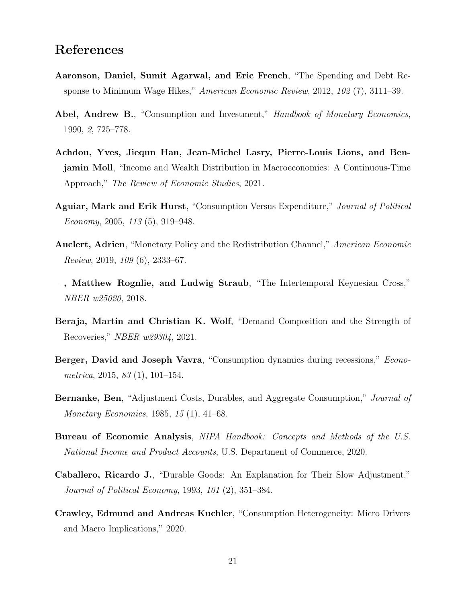## References

- <span id="page-21-9"></span>Aaronson, Daniel, Sumit Agarwal, and Eric French, "The Spending and Debt Response to Minimum Wage Hikes," American Economic Review, 2012, 102 (7), 3111–39.
- <span id="page-21-5"></span>Abel, Andrew B., "Consumption and Investment," Handbook of Monetary Economics, 1990, 2, 725–778.
- <span id="page-21-8"></span>Achdou, Yves, Jiequn Han, Jean-Michel Lasry, Pierre-Louis Lions, and Benjamin Moll, "Income and Wealth Distribution in Macroeconomics: A Continuous-Time Approach," The Review of Economic Studies, 2021.
- <span id="page-21-3"></span>Aguiar, Mark and Erik Hurst, "Consumption Versus Expenditure," Journal of Political Economy, 2005, 113 (5), 919–948.
- <span id="page-21-0"></span>Auclert, Adrien, "Monetary Policy and the Redistribution Channel," American Economic Review, 2019, 109 (6), 2333–67.
- <span id="page-21-4"></span>, Matthew Rognlie, and Ludwig Straub, "The Intertemporal Keynesian Cross," NBER w25020, 2018.
- <span id="page-21-7"></span>Beraja, Martin and Christian K. Wolf, "Demand Composition and the Strength of Recoveries," NBER w29304, 2021.
- <span id="page-21-6"></span>Berger, David and Joseph Vavra, "Consumption dynamics during recessions," *Econo*metrica, 2015, 83 (1), 101–154.
- <span id="page-21-10"></span>Bernanke, Ben, "Adjustment Costs, Durables, and Aggregate Consumption," Journal of Monetary Economics, 1985, 15 (1), 41–68.
- <span id="page-21-2"></span>Bureau of Economic Analysis, NIPA Handbook: Concepts and Methods of the U.S. National Income and Product Accounts, U.S. Department of Commerce, 2020.
- <span id="page-21-11"></span>Caballero, Ricardo J., "Durable Goods: An Explanation for Their Slow Adjustment," Journal of Political Economy, 1993, 101 (2), 351–384.
- <span id="page-21-1"></span>Crawley, Edmund and Andreas Kuchler, "Consumption Heterogeneity: Micro Drivers and Macro Implications," 2020.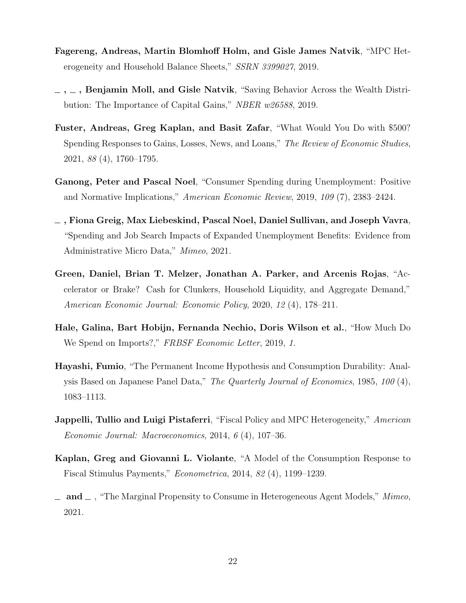- <span id="page-22-5"></span>Fagereng, Andreas, Martin Blomhoff Holm, and Gisle James Natvik, "MPC Heterogeneity and Household Balance Sheets," SSRN 3399027, 2019.
- <span id="page-22-4"></span> $, \ldots$ , Benjamin Moll, and Gisle Natvik, "Saving Behavior Across the Wealth Distribution: The Importance of Capital Gains," NBER w26588, 2019.
- <span id="page-22-10"></span>Fuster, Andreas, Greg Kaplan, and Basit Zafar, "What Would You Do with \$500? Spending Responses to Gains, Losses, News, and Loans," The Review of Economic Studies, 2021, 88 (4), 1760–1795.
- <span id="page-22-6"></span>Ganong, Peter and Pascal Noel, "Consumer Spending during Unemployment: Positive and Normative Implications," American Economic Review, 2019, 109 (7), 2383–2424.
- <span id="page-22-7"></span>, Fiona Greig, Max Liebeskind, Pascal Noel, Daniel Sullivan, and Joseph Vavra, "Spending and Job Search Impacts of Expanded Unemployment Benefits: Evidence from Administrative Micro Data," Mimeo, 2021.
- <span id="page-22-9"></span>Green, Daniel, Brian T. Melzer, Jonathan A. Parker, and Arcenis Rojas, "Accelerator or Brake? Cash for Clunkers, Household Liquidity, and Aggregate Demand," American Economic Journal: Economic Policy, 2020, 12 (4), 178–211.
- <span id="page-22-8"></span>Hale, Galina, Bart Hobijn, Fernanda Nechio, Doris Wilson et al., "How Much Do We Spend on Imports?," FRBSF Economic Letter, 2019, 1.
- <span id="page-22-1"></span>Hayashi, Fumio, "The Permanent Income Hypothesis and Consumption Durability: Analysis Based on Japanese Panel Data," The Quarterly Journal of Economics, 1985, 100 (4), 1083–1113.
- <span id="page-22-2"></span>**Jappelli, Tullio and Luigi Pistaferri,** "Fiscal Policy and MPC Heterogeneity," *American* Economic Journal: Macroeconomics, 2014, 6 (4), 107–36.
- <span id="page-22-0"></span>Kaplan, Greg and Giovanni L. Violante, "A Model of the Consumption Response to Fiscal Stimulus Payments," Econometrica, 2014, 82 (4), 1199–1239.
- <span id="page-22-3"></span> $\Delta$  and  $\Delta$ , "The Marginal Propensity to Consume in Heterogeneous Agent Models," *Mimeo*, 2021.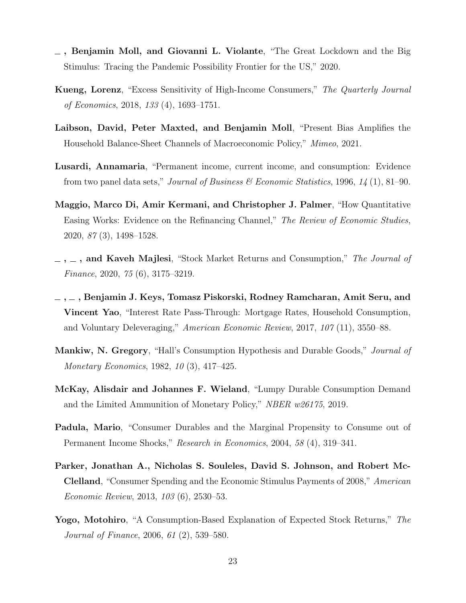- <span id="page-23-8"></span> $\overline{\phantom{a}}$ , Benjamin Moll, and Giovanni L. Violante, "The Great Lockdown and the Big Stimulus: Tracing the Pandemic Possibility Frontier for the US," 2020.
- <span id="page-23-4"></span>Kueng, Lorenz, "Excess Sensitivity of High-Income Consumers," The Quarterly Journal of Economics, 2018, 133 (4), 1693–1751.
- <span id="page-23-9"></span>Laibson, David, Peter Maxted, and Benjamin Moll, "Present Bias Amplifies the Household Balance-Sheet Channels of Macroeconomic Policy," Mimeo, 2021.
- <span id="page-23-1"></span>Lusardi, Annamaria, "Permanent income, current income, and consumption: Evidence from two panel data sets," Journal of Business & Economic Statistics, 1996, 14 (1), 81–90.
- <span id="page-23-7"></span>Maggio, Marco Di, Amir Kermani, and Christopher J. Palmer, "How Quantitative Easing Works: Evidence on the Refinancing Channel," The Review of Economic Studies, 2020, 87 (3), 1498–1528.
- <span id="page-23-5"></span> $\ldots$ , and Kaveh Majlesi, "Stock Market Returns and Consumption," The Journal of Finance, 2020, 75 (6), 3175–3219.
- <span id="page-23-6"></span> $\ldots$ , Benjamin J. Keys, Tomasz Piskorski, Rodney Ramcharan, Amit Seru, and Vincent Yao, "Interest Rate Pass-Through: Mortgage Rates, Household Consumption, and Voluntary Deleveraging," American Economic Review, 2017, 107 (11), 3550–88.
- <span id="page-23-0"></span>Mankiw, N. Gregory, "Hall's Consumption Hypothesis and Durable Goods," *Journal of* Monetary Economics, 1982, 10 (3), 417–425.
- <span id="page-23-10"></span>McKay, Alisdair and Johannes F. Wieland, "Lumpy Durable Consumption Demand and the Limited Ammunition of Monetary Policy," NBER w26175, 2019.
- <span id="page-23-2"></span>Padula, Mario, "Consumer Durables and the Marginal Propensity to Consume out of Permanent Income Shocks," Research in Economics, 2004, 58 (4), 319–341.
- <span id="page-23-3"></span>Parker, Jonathan A., Nicholas S. Souleles, David S. Johnson, and Robert Mc-Clelland, "Consumer Spending and the Economic Stimulus Payments of 2008," American Economic Review, 2013, 103 (6), 2530–53.
- <span id="page-23-11"></span>Yogo, Motohiro, "A Consumption-Based Explanation of Expected Stock Returns," The Journal of Finance, 2006, 61 (2), 539–580.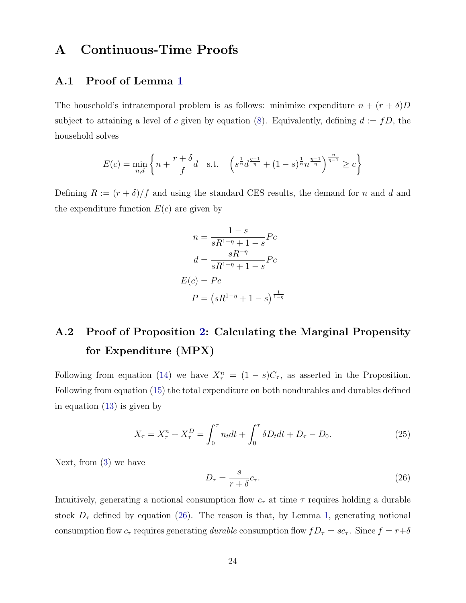## A Continuous-Time Proofs

### A.1 Proof of Lemma [1](#page-10-3)

The household's intratemporal problem is as follows: minimize expenditure  $n + (r + \delta)D$ subject to attaining a level of c given by equation [\(8\)](#page-10-1). Equivalently, defining  $d := fD$ , the household solves

$$
E(c) = \min_{n,d} \left\{ n + \frac{r+\delta}{f}d \quad \text{s.t.} \quad \left( s^{\frac{1}{\eta}} d^{\frac{\eta-1}{\eta}} + (1-s)^{\frac{1}{\eta}} n^{\frac{\eta-1}{\eta}} \right)^{\frac{\eta}{\eta-1}} \ge c \right\}
$$

Defining  $R := (r + \delta)/f$  and using the standard CES results, the demand for n and d and the expenditure function  $E(c)$  are given by

$$
n = \frac{1-s}{sR^{1-\eta} + 1-s}Pc
$$

$$
d = \frac{sR^{-\eta}}{sR^{1-\eta} + 1-s}Pc
$$

$$
E(c) = Pc
$$

$$
P = (sR^{1-\eta} + 1-s)^{\frac{1}{1-\eta}}
$$

# <span id="page-24-0"></span>A.2 Proof of Proposition [2:](#page-14-1) Calculating the Marginal Propensity for Expenditure (MPX)

Following from equation [\(14\)](#page-12-2) we have  $X_{\tau}^{n} = (1-s)C_{\tau}$ , as asserted in the Proposition. Following from equation [\(15\)](#page-12-0) the total expenditure on both nondurables and durables defined in equation [\(13\)](#page-12-1) is given by

$$
X_{\tau} = X_{\tau}^{n} + X_{\tau}^{D} = \int_{0}^{\tau} n_{t}dt + \int_{0}^{\tau} \delta D_{t}dt + D_{\tau} - D_{0}.
$$
 (25)

Next, from [\(3\)](#page-9-1) we have

<span id="page-24-1"></span>
$$
D_{\tau} = \frac{s}{r + \delta} c_{\tau}.\tag{26}
$$

Intuitively, generating a notional consumption flow  $c_{\tau}$  at time  $\tau$  requires holding a durable stock  $D_{\tau}$  defined by equation [\(26\)](#page-24-1). The reason is that, by Lemma [1,](#page-10-3) generating notional consumption flow  $c_{\tau}$  requires generating durable consumption flow  $fD_{\tau} = sc_{\tau}$ . Since  $f = r+\delta$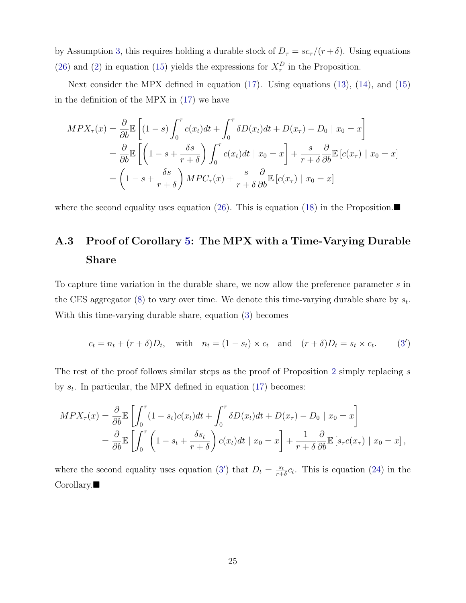by Assumption [3,](#page-10-0) this requires holding a durable stock of  $D_{\tau} = sc_{\tau}/(r + \delta)$ . Using equations [\(26\)](#page-24-1) and [\(2\)](#page-7-3) in equation [\(15\)](#page-12-0) yields the expressions for  $X_{\tau}^{D}$  in the Proposition.

Next consider the MPX defined in equation [\(17\)](#page-13-3). Using equations [\(13\)](#page-12-1), [\(14\)](#page-12-2), and [\(15\)](#page-12-0) in the definition of the MPX in [\(17\)](#page-13-3) we have

$$
MPX_{\tau}(x) = \frac{\partial}{\partial b} \mathbb{E} \left[ (1-s) \int_0^{\tau} c(x_t) dt + \int_0^{\tau} \delta D(x_t) dt + D(x_{\tau}) - D_0 \mid x_0 = x \right]
$$
  
=  $\frac{\partial}{\partial b} \mathbb{E} \left[ \left( 1 - s + \frac{\delta s}{r + \delta} \right) \int_0^{\tau} c(x_t) dt \mid x_0 = x \right] + \frac{s}{r + \delta} \frac{\partial}{\partial b} \mathbb{E} \left[ c(x_{\tau}) \mid x_0 = x \right]$   
=  $\left( 1 - s + \frac{\delta s}{r + \delta} \right) MPC_{\tau}(x) + \frac{s}{r + \delta} \frac{\partial}{\partial b} \mathbb{E} \left[ c(x_{\tau}) \mid x_0 = x \right]$ 

where the second equality uses equation [\(26\)](#page-24-1). This is equation [\(18\)](#page-14-0) in the Proposition.

# <span id="page-25-0"></span>A.3 Proof of Corollary [5:](#page-19-2) The MPX with a Time-Varying Durable Share

To capture time variation in the durable share, we now allow the preference parameter s in the CES aggregator [\(8\)](#page-10-1) to vary over time. We denote this time-varying durable share by  $s_t$ . With this time-varying durable share, equation [\(3\)](#page-9-1) becomes

<span id="page-25-1"></span>
$$
c_t = n_t + (r + \delta)D_t, \quad \text{with} \quad n_t = (1 - s_t) \times c_t \quad \text{and} \quad (r + \delta)D_t = s_t \times c_t. \tag{3'}
$$

The rest of the proof follows similar steps as the proof of Proposition [2](#page-14-1) simply replacing s by  $s_t$ . In particular, the MPX defined in equation [\(17\)](#page-13-3) becomes:

$$
MPX_{\tau}(x) = \frac{\partial}{\partial b} \mathbb{E} \left[ \int_0^{\tau} (1 - s_t)c(x_t)dt + \int_0^{\tau} \delta D(x_t)dt + D(x_{\tau}) - D_0 \mid x_0 = x \right]
$$
  
=  $\frac{\partial}{\partial b} \mathbb{E} \left[ \int_0^{\tau} \left( 1 - s_t + \frac{\delta s_t}{r + \delta} \right) c(x_t)dt \mid x_0 = x \right] + \frac{1}{r + \delta} \frac{\partial}{\partial b} \mathbb{E} \left[ s_{\tau}c(x_{\tau}) \mid x_0 = x \right],$ 

where the second equality uses equation [\(3](#page-25-1)') that  $D_t = \frac{s_t}{r+1}$  $\frac{s_t}{r+\delta}c_t$ . This is equation [\(24\)](#page-19-1) in the Corollary.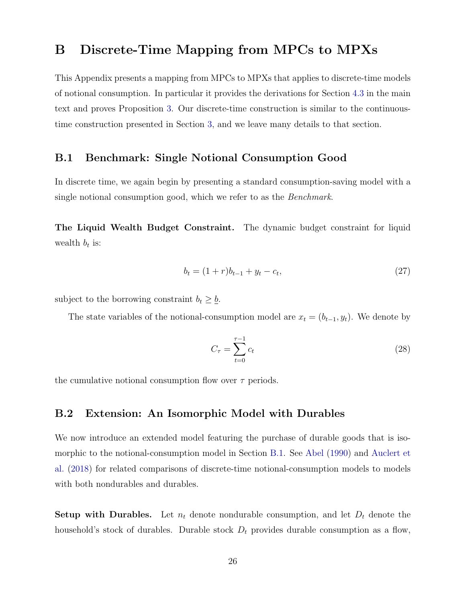### <span id="page-26-0"></span>B Discrete-Time Mapping from MPCs to MPXs

This Appendix presents a mapping from MPCs to MPXs that applies to discrete-time models of notional consumption. In particular it provides the derivations for Section [4.3](#page-16-0) in the main text and proves Proposition [3.](#page-16-2) Our discrete-time construction is similar to the continuoustime construction presented in Section [3,](#page-7-0) and we leave many details to that section.

#### <span id="page-26-1"></span>B.1 Benchmark: Single Notional Consumption Good

In discrete time, we again begin by presenting a standard consumption-saving model with a single notional consumption good, which we refer to as the *Benchmark*.

The Liquid Wealth Budget Constraint. The dynamic budget constraint for liquid wealth  $b_t$  is:

$$
b_t = (1+r)b_{t-1} + y_t - c_t,\tag{27}
$$

subject to the borrowing constraint  $b_t \geq \underline{b}$ .

The state variables of the notional-consumption model are  $x_t = (b_{t-1}, y_t)$ . We denote by

<span id="page-26-3"></span><span id="page-26-2"></span>
$$
C_{\tau} = \sum_{t=0}^{\tau-1} c_t \tag{28}
$$

the cumulative notional consumption flow over  $\tau$  periods.

#### <span id="page-26-4"></span>B.2 Extension: An Isomorphic Model with Durables

We now introduce an extended model featuring the purchase of durable goods that is isomorphic to the notional-consumption model in Section [B.1.](#page-26-1) See [Abel](#page-21-5) [\(1990\)](#page-21-5) and [Auclert et](#page-21-4) [al.](#page-21-4) [\(2018\)](#page-21-4) for related comparisons of discrete-time notional-consumption models to models with both nondurables and durables.

**Setup with Durables.** Let  $n_t$  denote nondurable consumption, and let  $D_t$  denote the household's stock of durables. Durable stock  $D_t$  provides durable consumption as a flow,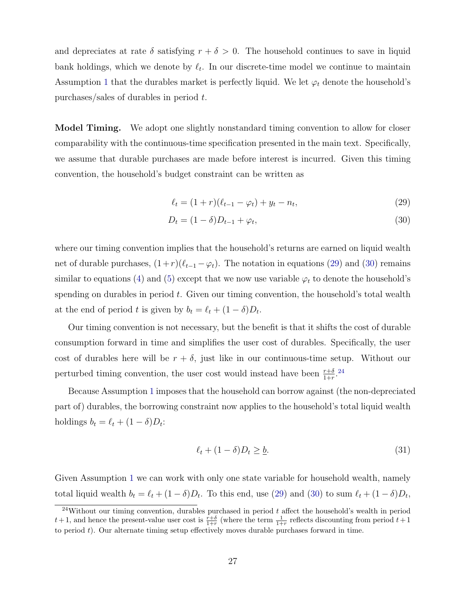and depreciates at rate  $\delta$  satisfying  $r + \delta > 0$ . The household continues to save in liquid bank holdings, which we denote by  $\ell_t$ . In our discrete-time model we continue to maintain Assumption [1](#page-9-0) that the durables market is perfectly liquid. We let  $\varphi_t$  denote the household's purchases/sales of durables in period t.

Model Timing. We adopt one slightly nonstandard timing convention to allow for closer comparability with the continuous-time specification presented in the main text. Specifically, we assume that durable purchases are made before interest is incurred. Given this timing convention, the household's budget constraint can be written as

<span id="page-27-1"></span><span id="page-27-0"></span>
$$
\ell_t = (1+r)(\ell_{t-1} - \varphi_t) + y_t - n_t, \tag{29}
$$

$$
D_t = (1 - \delta)D_{t-1} + \varphi_t,\tag{30}
$$

where our timing convention implies that the household's returns are earned on liquid wealth net of durable purchases,  $(1+r)(\ell_{t-1} - \varphi_t)$ . The notation in equations [\(29\)](#page-27-0) and [\(30\)](#page-27-1) remains similar to equations [\(4\)](#page-9-2) and [\(5\)](#page-9-3) except that we now use variable  $\varphi_t$  to denote the household's spending on durables in period  $t$ . Given our timing convention, the household's total wealth at the end of period t is given by  $b_t = \ell_t + (1 - \delta)D_t$ .

Our timing convention is not necessary, but the benefit is that it shifts the cost of durable consumption forward in time and simplifies the user cost of durables. Specifically, the user cost of durables here will be  $r + \delta$ , just like in our continuous-time setup. Without our perturbed timing convention, the user cost would instead have been  $\frac{r+\delta}{1+r}$ <sup>[24](#page-0-0)</sup>

Because Assumption [1](#page-9-0) imposes that the household can borrow against (the non-depreciated part of) durables, the borrowing constraint now applies to the household's total liquid wealth holdings  $b_t = \ell_t + (1 - \delta)D_t$ :

$$
\ell_t + (1 - \delta)D_t \ge \underline{b}.\tag{31}
$$

Given Assumption [1](#page-9-0) we can work with only one state variable for household wealth, namely total liquid wealth  $b_t = \ell_t + (1 - \delta)D_t$ . To this end, use [\(29\)](#page-27-0) and [\(30\)](#page-27-1) to sum  $\ell_t + (1 - \delta)D_t$ ,

 $^{24}$ Without our timing convention, durables purchased in period t affect the household's wealth in period  $t+1$ , and hence the present-value user cost is  $\frac{r+\delta}{1+r}$  (where the term  $\frac{1}{1+r}$  reflects discounting from period  $t+1$ to period  $t$ ). Our alternate timing setup effectively moves durable purchases forward in time.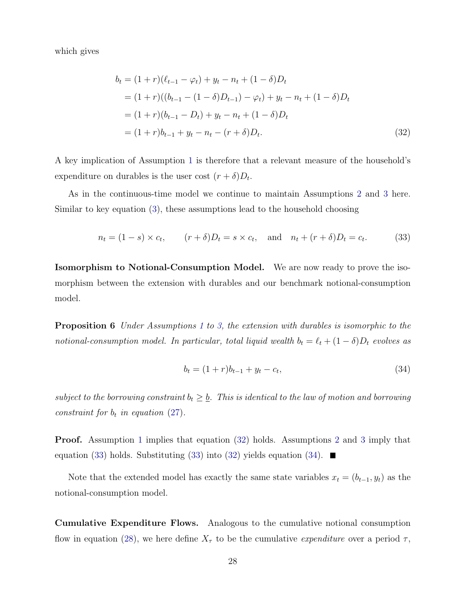which gives

<span id="page-28-0"></span>
$$
b_t = (1+r)(\ell_{t-1} - \varphi_t) + y_t - n_t + (1-\delta)D_t
$$
  
=  $(1+r)((b_{t-1} - (1-\delta)D_{t-1}) - \varphi_t) + y_t - n_t + (1-\delta)D_t$   
=  $(1+r)(b_{t-1} - D_t) + y_t - n_t + (1-\delta)D_t$   
=  $(1+r)b_{t-1} + y_t - n_t - (r+\delta)D_t.$  (32)

A key implication of Assumption [1](#page-9-0) is therefore that a relevant measure of the household's expenditure on durables is the user cost  $(r + \delta)D_t$ .

As in the continuous-time model we continue to maintain Assumptions [2](#page-10-2) and [3](#page-10-0) here. Similar to key equation [\(3\)](#page-9-1), these assumptions lead to the household choosing

$$
n_t = (1 - s) \times c_t, \qquad (r + \delta)D_t = s \times c_t, \quad \text{and} \quad n_t + (r + \delta)D_t = c_t. \tag{33}
$$

Isomorphism to Notional-Consumption Model. We are now ready to prove the isomorphism between the extension with durables and our benchmark notional-consumption model.

Proposition 6 Under Assumptions [1](#page-9-0) to [3,](#page-10-0) the extension with durables is isomorphic to the notional-consumption model. In particular, total liquid wealth  $b_t = \ell_t + (1 - \delta)D_t$  evolves as

<span id="page-28-2"></span><span id="page-28-1"></span>
$$
b_t = (1+r)b_{t-1} + y_t - c_t,\tag{34}
$$

subject to the borrowing constraint  $b_t \geq \underline{b}$ . This is identical to the law of motion and borrowing constraint for  $b_t$  in equation [\(27\)](#page-26-2).

Proof. Assumption [1](#page-9-0) implies that equation [\(32\)](#page-28-0) holds. Assumptions [2](#page-10-2) and [3](#page-10-0) imply that equation [\(33\)](#page-28-1) holds. Substituting (33) into [\(32\)](#page-28-0) yields equation [\(34\)](#page-28-2).  $\blacksquare$ 

Note that the extended model has exactly the same state variables  $x_t = (b_{t-1}, y_t)$  as the notional-consumption model.

Cumulative Expenditure Flows. Analogous to the cumulative notional consumption flow in equation [\(28\)](#page-26-3), we here define  $X_{\tau}$  to be the cumulative *expenditure* over a period  $\tau$ ,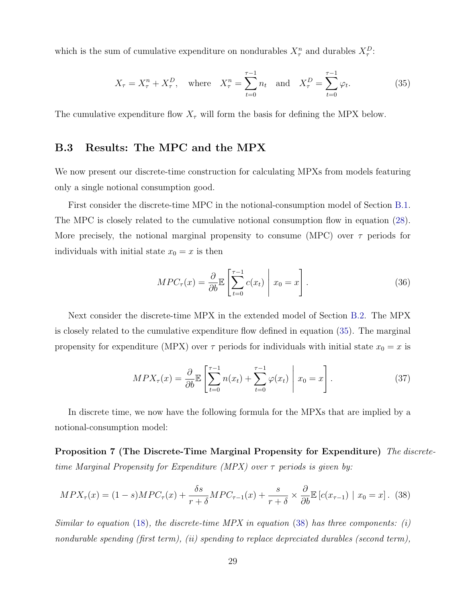which is the sum of cumulative expenditure on nondurables  $X_{\tau}^{n}$  and durables  $X_{\tau}^{D}$ .

<span id="page-29-1"></span>
$$
X_{\tau} = X_{\tau}^{n} + X_{\tau}^{D}
$$
, where  $X_{\tau}^{n} = \sum_{t=0}^{\tau-1} n_{t}$  and  $X_{\tau}^{D} = \sum_{t=0}^{\tau-1} \varphi_{t}$ . (35)

The cumulative expenditure flow  $X_{\tau}$  will form the basis for defining the MPX below.

### B.3 Results: The MPC and the MPX

We now present our discrete-time construction for calculating MPXs from models featuring only a single notional consumption good.

First consider the discrete-time MPC in the notional-consumption model of Section [B.1.](#page-26-1) The MPC is closely related to the cumulative notional consumption flow in equation [\(28\)](#page-26-3). More precisely, the notional marginal propensity to consume (MPC) over  $\tau$  periods for individuals with initial state  $x_0 = x$  is then

$$
MPC_{\tau}(x) = \frac{\partial}{\partial b} \mathbb{E} \left[ \sum_{t=0}^{\tau-1} c(x_t) \middle| x_0 = x \right]. \tag{36}
$$

Next consider the discrete-time MPX in the extended model of Section [B.2.](#page-26-4) The MPX is closely related to the cumulative expenditure flow defined in equation [\(35\)](#page-29-1). The marginal propensity for expenditure (MPX) over  $\tau$  periods for individuals with initial state  $x_0 = x$  is

<span id="page-29-3"></span><span id="page-29-0"></span>
$$
MPX_{\tau}(x) = \frac{\partial}{\partial b} \mathbb{E} \left[ \sum_{t=0}^{\tau-1} n(x_t) + \sum_{t=0}^{\tau-1} \varphi(x_t) \middle| x_0 = x \right]. \tag{37}
$$

In discrete time, we now have the following formula for the MPXs that are implied by a notional-consumption model:

Proposition 7 (The Discrete-Time Marginal Propensity for Expenditure) The discretetime Marginal Propensity for Expenditure (MPX) over  $\tau$  periods is given by:

<span id="page-29-2"></span>
$$
MPX_{\tau}(x) = (1-s)MPC_{\tau}(x) + \frac{\delta s}{r+\delta}MPC_{\tau-1}(x) + \frac{s}{r+\delta} \times \frac{\partial}{\partial b} \mathbb{E}\left[c(x_{\tau-1}) \mid x_0 = x\right]. \tag{38}
$$

Similar to equation [\(18\)](#page-14-0), the discrete-time MPX in equation [\(38\)](#page-29-2) has three components: (i) nondurable spending (first term), (ii) spending to replace depreciated durables (second term),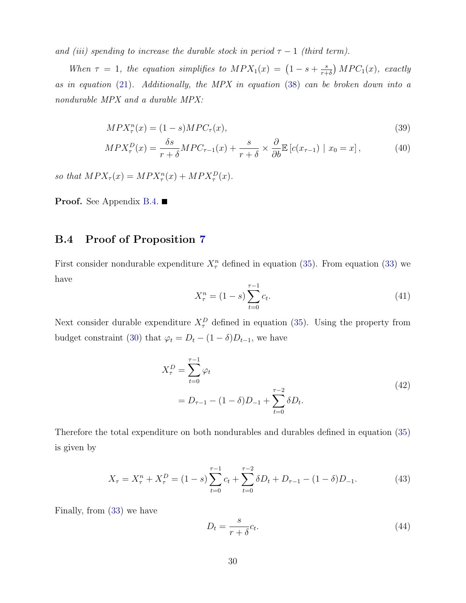and (iii) spending to increase the durable stock in period  $\tau - 1$  (third term).

When  $\tau = 1$ , the equation simplifies to  $MPX_1(x) = (1 - s + \frac{s}{r+1})$  $\frac{s}{r+\delta}$ ) MPC<sub>1</sub>(x), exactly as in equation [\(21\)](#page-16-1). Additionally, the MPX in equation [\(38\)](#page-29-2) can be broken down into a nondurable MPX and a durable MPX:

$$
MPX_{\tau}^{n}(x) = (1 - s)MPC_{\tau}(x),
$$
\n(39)

$$
MPX_{\tau}^{D}(x) = \frac{\delta s}{r+\delta} MPC_{\tau-1}(x) + \frac{s}{r+\delta} \times \frac{\partial}{\partial b} \mathbb{E} \left[ c(x_{\tau-1}) \mid x_{0} = x \right],
$$
 (40)

so that  $MPX_{\tau}(x) = MPX_{\tau}^{n}(x) + MPX_{\tau}^{D}(x)$ .

**Proof.** See Appendix [B.4.](#page-30-0)  $\blacksquare$ 

#### <span id="page-30-0"></span>B.4 Proof of Proposition [7](#page-29-0)

First consider nondurable expenditure  $X_{\tau}^{n}$  defined in equation [\(35\)](#page-29-1). From equation [\(33\)](#page-28-1) we have

$$
X_{\tau}^{n} = (1 - s) \sum_{t=0}^{\tau - 1} c_{t}.
$$
\n(41)

Next consider durable expenditure  $X_{\tau}^{D}$  defined in equation [\(35\)](#page-29-1). Using the property from budget constraint [\(30\)](#page-27-1) that  $\varphi_t = D_t - (1 - \delta)D_{t-1}$ , we have

$$
X_{\tau}^{D} = \sum_{t=0}^{\tau-1} \varphi_{t}
$$
  
=  $D_{\tau-1} - (1 - \delta)D_{-1} + \sum_{t=0}^{\tau-2} \delta D_{t}.$  (42)

Therefore the total expenditure on both nondurables and durables defined in equation [\(35\)](#page-29-1) is given by

<span id="page-30-1"></span>
$$
X_{\tau} = X_{\tau}^{n} + X_{\tau}^{D} = (1 - s) \sum_{t=0}^{\tau-1} c_{t} + \sum_{t=0}^{\tau-2} \delta D_{t} + D_{\tau-1} - (1 - \delta) D_{-1}.
$$
 (43)

Finally, from [\(33\)](#page-28-1) we have

<span id="page-30-2"></span>
$$
D_t = \frac{s}{r+\delta}c_t.
$$
\n(44)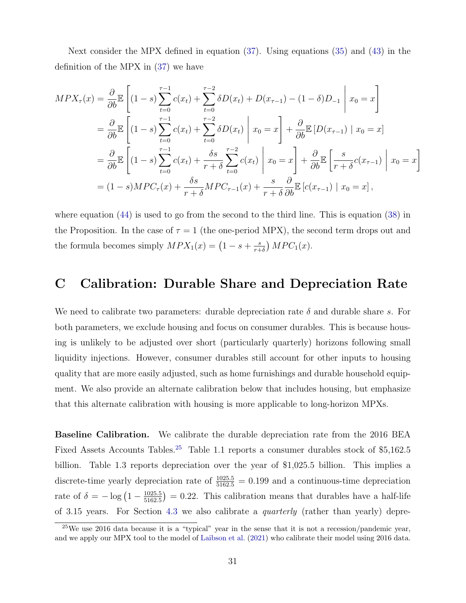Next consider the MPX defined in equation [\(37\)](#page-29-3). Using equations [\(35\)](#page-29-1) and [\(43\)](#page-30-1) in the definition of the MPX in [\(37\)](#page-29-3) we have

$$
MPX_{\tau}(x) = \frac{\partial}{\partial b} \mathbb{E} \left[ (1-s) \sum_{t=0}^{\tau-1} c(x_t) + \sum_{t=0}^{\tau-2} \delta D(x_t) + D(x_{\tau-1}) - (1-\delta)D_{-1} \middle| x_0 = x \right]
$$
  
\n
$$
= \frac{\partial}{\partial b} \mathbb{E} \left[ (1-s) \sum_{t=0}^{\tau-1} c(x_t) + \sum_{t=0}^{\tau-2} \delta D(x_t) \middle| x_0 = x \right] + \frac{\partial}{\partial b} \mathbb{E} \left[ D(x_{\tau-1}) \middle| x_0 = x \right]
$$
  
\n
$$
= \frac{\partial}{\partial b} \mathbb{E} \left[ (1-s) \sum_{t=0}^{\tau-1} c(x_t) + \frac{\delta s}{r+\delta} \sum_{t=0}^{\tau-2} c(x_t) \middle| x_0 = x \right] + \frac{\partial}{\partial b} \mathbb{E} \left[ \frac{s}{r+\delta} c(x_{\tau-1}) \middle| x_0 = x \right]
$$
  
\n
$$
= (1-s)MPC_{\tau}(x) + \frac{\delta s}{r+\delta} MPC_{\tau-1}(x) + \frac{s}{r+\delta} \frac{\partial}{\partial b} \mathbb{E} \left[ c(x_{\tau-1}) \middle| x_0 = x \right],
$$

where equation  $(44)$  is used to go from the second to the third line. This is equation  $(38)$  in the Proposition. In the case of  $\tau = 1$  (the one-period MPX), the second term drops out and the formula becomes simply  $MPX_1(x) = (1 - s + \frac{s}{r+1})$  $\frac{s}{r+\delta}$ ) MPC<sub>1</sub>(x).

### <span id="page-31-0"></span>C Calibration: Durable Share and Depreciation Rate

We need to calibrate two parameters: durable depreciation rate  $\delta$  and durable share s. For both parameters, we exclude housing and focus on consumer durables. This is because housing is unlikely to be adjusted over short (particularly quarterly) horizons following small liquidity injections. However, consumer durables still account for other inputs to housing quality that are more easily adjusted, such as home furnishings and durable household equipment. We also provide an alternate calibration below that includes housing, but emphasize that this alternate calibration with housing is more applicable to long-horizon MPXs.

Baseline Calibration. We calibrate the durable depreciation rate from the 2016 BEA Fixed Assets Accounts Tables.<sup>[25](#page-0-0)</sup> Table 1.1 reports a consumer durables stock of \$5,162.5 billion. Table 1.3 reports depreciation over the year of \$1,025.5 billion. This implies a discrete-time yearly depreciation rate of  $\frac{1025.5}{5162.5} = 0.199$  and a continuous-time depreciation rate of  $\delta = -\log(1 - \frac{1025.5}{5162.5})$  $\frac{1025.5}{5162.5}$  = 0.22. This calibration means that durables have a half-life of 3.15 years. For Section [4.3](#page-16-0) we also calibrate a quarterly (rather than yearly) depre-

<sup>&</sup>lt;sup>25</sup>We use 2016 data because it is a "typical" year in the sense that it is not a recession/pandemic year, and we apply our MPX tool to the model of [Laibson et al.](#page-23-9) [\(2021\)](#page-23-9) who calibrate their model using 2016 data.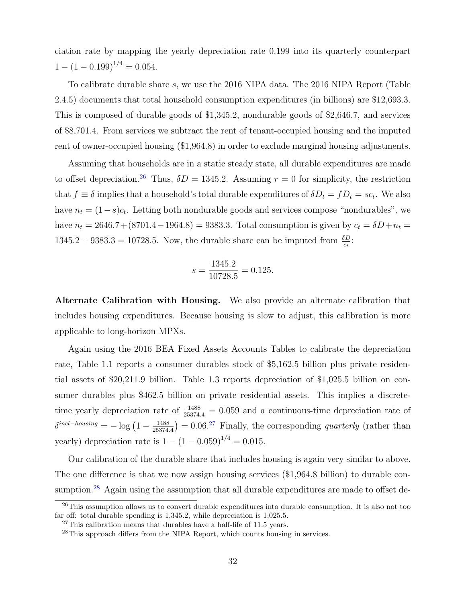ciation rate by mapping the yearly depreciation rate 0.199 into its quarterly counterpart  $1 - (1 - 0.199)^{1/4} = 0.054.$ 

To calibrate durable share s, we use the 2016 NIPA data. The 2016 NIPA Report (Table 2.4.5) documents that total household consumption expenditures (in billions) are \$12,693.3. This is composed of durable goods of \$1,345.2, nondurable goods of \$2,646.7, and services of \$8,701.4. From services we subtract the rent of tenant-occupied housing and the imputed rent of owner-occupied housing (\$1,964.8) in order to exclude marginal housing adjustments.

Assuming that households are in a static steady state, all durable expenditures are made to offset depreciation.<sup>[26](#page-0-0)</sup> Thus,  $\delta D = 1345.2$ . Assuming  $r = 0$  for simplicity, the restriction that  $f \equiv \delta$  implies that a household's total durable expenditures of  $\delta D_t = f D_t = s c_t$ . We also have  $n_t = (1-s)c_t$ . Letting both nondurable goods and services compose "nondurables", we have  $n_t = 2646.7 + (8701.4 - 1964.8) = 9383.3$ . Total consumption is given by  $c_t = \delta D + n_t =$  $1345.2 + 9383.3 = 10728.5$ . Now, the durable share can be imputed from  $\frac{\delta D}{c_t}$ .

$$
s = \frac{1345.2}{10728.5} = 0.125.
$$

Alternate Calibration with Housing. We also provide an alternate calibration that includes housing expenditures. Because housing is slow to adjust, this calibration is more applicable to long-horizon MPXs.

Again using the 2016 BEA Fixed Assets Accounts Tables to calibrate the depreciation rate, Table 1.1 reports a consumer durables stock of \$5,162.5 billion plus private residential assets of \$20,211.9 billion. Table 1.3 reports depreciation of \$1,025.5 billion on consumer durables plus \$462.5 billion on private residential assets. This implies a discretetime yearly depreciation rate of  $\frac{1488}{25374.4} = 0.059$  and a continuous-time depreciation rate of  $\delta^{incl-housing} = -\log\left(1 - \frac{1488}{25374}\right)$  $\frac{1488}{25374.4}$ ) = 0.06.<sup>[27](#page-0-0)</sup> Finally, the corresponding *quarterly* (rather than yearly) depreciation rate is  $1 - (1 - 0.059)^{1/4} = 0.015$ .

Our calibration of the durable share that includes housing is again very similar to above. The one difference is that we now assign housing services (\$1,964.8 billion) to durable con-sumption.<sup>[28](#page-0-0)</sup> Again using the assumption that all durable expenditures are made to offset de-

<sup>&</sup>lt;sup>26</sup>This assumption allows us to convert durable expenditures into durable consumption. It is also not too far off: total durable spending is 1,345.2, while depreciation is 1,025.5.

 $27$ This calibration means that durables have a half-life of 11.5 years.

 $^{28}$ This approach differs from the NIPA Report, which counts housing in services.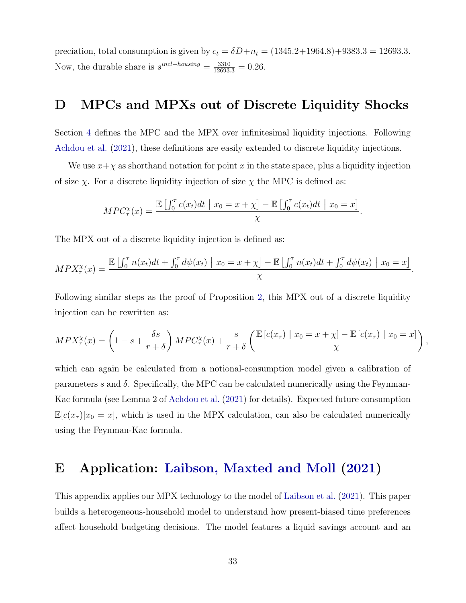preciation, total consumption is given by  $c_t = \delta D + n_t = (1345.2 + 1964.8) + 9383.3 = 12693.3$ . Now, the durable share is  $s^{incl-housing} = \frac{3310}{12693.3} = 0.26$ .

### <span id="page-33-1"></span>D MPCs and MPXs out of Discrete Liquidity Shocks

Section [4](#page-13-1) defines the MPC and the MPX over infinitesimal liquidity injections. Following [Achdou et al.](#page-21-8) [\(2021\)](#page-21-8), these definitions are easily extended to discrete liquidity injections.

We use  $x+\chi$  as shorthand notation for point x in the state space, plus a liquidity injection of size  $\chi$ . For a discrete liquidity injection of size  $\chi$  the MPC is defined as:

$$
MPC_{\tau}^{\chi}(x) = \frac{\mathbb{E}\left[\int_0^{\tau} c(x_t)dt \mid x_0 = x + \chi\right] - \mathbb{E}\left[\int_0^{\tau} c(x_t)dt \mid x_0 = x\right]}{\chi}.
$$

The MPX out of a discrete liquidity injection is defined as:

$$
MPX_{\tau}^{\chi}(x) = \frac{\mathbb{E}\left[\int_0^{\tau} n(x_t)dt + \int_0^{\tau} d\psi(x_t) \middle| x_0 = x + \chi\right] - \mathbb{E}\left[\int_0^{\tau} n(x_t)dt + \int_0^{\tau} d\psi(x_t) \middle| x_0 = x\right]}{\chi}.
$$

Following similar steps as the proof of Proposition [2,](#page-14-1) this MPX out of a discrete liquidity injection can be rewritten as:

$$
MPX_{\tau}^{\chi}(x) = \left(1 - s + \frac{\delta s}{r + \delta}\right)MPC_{\tau}^{\chi}(x) + \frac{s}{r + \delta}\left(\frac{\mathbb{E}\left[c(x_{\tau}) \mid x_{0} = x + \chi\right] - \mathbb{E}\left[c(x_{\tau}) \mid x_{0} = x\right]}{\chi}\right),
$$

which can again be calculated from a notional-consumption model given a calibration of parameters s and  $\delta$ . Specifically, the MPC can be calculated numerically using the Feynman-Kac formula (see Lemma 2 of [Achdou et al.](#page-21-8) [\(2021\)](#page-21-8) for details). Expected future consumption  $\mathbb{E}[c(x_{\tau})|x_0=x]$ , which is used in the MPX calculation, can also be calculated numerically using the Feynman-Kac formula.

### <span id="page-33-0"></span>E Application: [Laibson, Maxted and Moll](#page-23-9) [\(2021\)](#page-23-9)

This appendix applies our MPX technology to the model of [Laibson et al.](#page-23-9) [\(2021\)](#page-23-9). This paper builds a heterogeneous-household model to understand how present-biased time preferences affect household budgeting decisions. The model features a liquid savings account and an